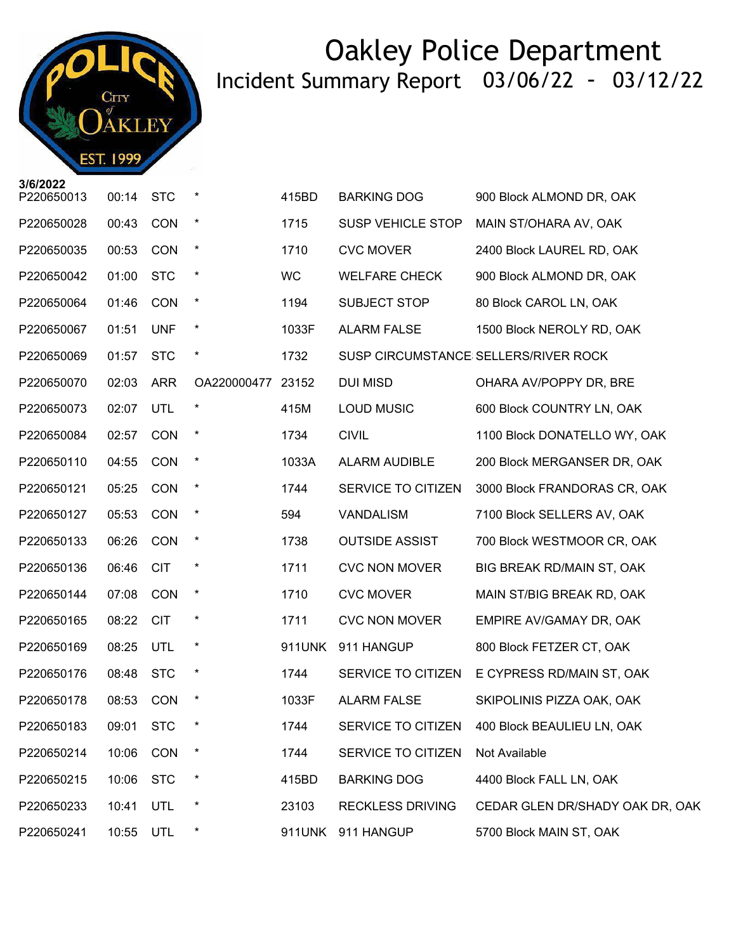

| P220650013 | 00:14 | <b>STC</b> | $\ast$      | 415BD     | <b>BARKING DOG</b>      | 900 Block ALMOND DR, OAK                      |
|------------|-------|------------|-------------|-----------|-------------------------|-----------------------------------------------|
| P220650028 | 00:43 | CON        | $\ast$      | 1715      | SUSP VEHICLE STOP       | MAIN ST/OHARA AV, OAK                         |
| P220650035 | 00:53 | CON        | $\star$     | 1710      | <b>CVC MOVER</b>        | 2400 Block LAUREL RD, OAK                     |
| P220650042 | 01:00 | <b>STC</b> | $\star$     | <b>WC</b> | <b>WELFARE CHECK</b>    | 900 Block ALMOND DR, OAK                      |
| P220650064 | 01:46 | CON        | $\star$     | 1194      | <b>SUBJECT STOP</b>     | 80 Block CAROL LN, OAK                        |
| P220650067 | 01:51 | <b>UNF</b> | $\star$     | 1033F     | <b>ALARM FALSE</b>      | 1500 Block NEROLY RD, OAK                     |
| P220650069 | 01:57 | <b>STC</b> | $\star$     | 1732      |                         | SUSP CIRCUMSTANCE SELLERS/RIVER ROCK          |
| P220650070 | 02:03 | <b>ARR</b> | OA220000477 | 23152     | DUI MISD                | OHARA AV/POPPY DR, BRE                        |
| P220650073 | 02:07 | UTL        | $\ast$      | 415M      | <b>LOUD MUSIC</b>       | 600 Block COUNTRY LN, OAK                     |
| P220650084 | 02:57 | CON        | $\star$     | 1734      | <b>CIVIL</b>            | 1100 Block DONATELLO WY, OAK                  |
| P220650110 | 04:55 | CON        | $\star$     | 1033A     | <b>ALARM AUDIBLE</b>    | 200 Block MERGANSER DR, OAK                   |
| P220650121 | 05:25 | CON        | $\star$     | 1744      | SERVICE TO CITIZEN      | 3000 Block FRANDORAS CR, OAK                  |
| P220650127 | 05:53 | CON        | $\star$     | 594       | VANDALISM               | 7100 Block SELLERS AV, OAK                    |
| P220650133 | 06:26 | CON        | $\star$     | 1738      | <b>OUTSIDE ASSIST</b>   | 700 Block WESTMOOR CR, OAK                    |
| P220650136 | 06:46 | <b>CIT</b> | $\ast$      | 1711      | <b>CVC NON MOVER</b>    | BIG BREAK RD/MAIN ST, OAK                     |
| P220650144 | 07:08 | CON        | $\star$     | 1710      | <b>CVC MOVER</b>        | MAIN ST/BIG BREAK RD, OAK                     |
| P220650165 | 08:22 | <b>CIT</b> | $\ast$      | 1711      | <b>CVC NON MOVER</b>    | EMPIRE AV/GAMAY DR, OAK                       |
| P220650169 | 08:25 | UTL        | $\ast$      | 911UNK    | 911 HANGUP              | 800 Block FETZER CT, OAK                      |
| P220650176 | 08:48 | <b>STC</b> | $\star$     | 1744      | SERVICE TO CITIZEN      | E CYPRESS RD/MAIN ST, OAK                     |
| P220650178 | 08:53 | <b>CON</b> | $\star$     | 1033F     | <b>ALARM FALSE</b>      | SKIPOLINIS PIZZA OAK, OAK                     |
| P220650183 | 09:01 | <b>STC</b> | $\ast$      | 1744      |                         | SERVICE TO CITIZEN 400 Block BEAULIEU LN, OAK |
| P220650214 | 10:06 | <b>CON</b> |             | 1744      | SERVICE TO CITIZEN      | Not Available                                 |
| P220650215 | 10:06 | <b>STC</b> | $\ast$      | 415BD     | <b>BARKING DOG</b>      | 4400 Block FALL LN, OAK                       |
| P220650233 | 10:41 | UTL        | $\ast$      | 23103     | <b>RECKLESS DRIVING</b> | CEDAR GLEN DR/SHADY OAK DR, OAK               |
| P220650241 | 10:55 | UTL        | $\ast$      |           | 911UNK 911 HANGUP       | 5700 Block MAIN ST, OAK                       |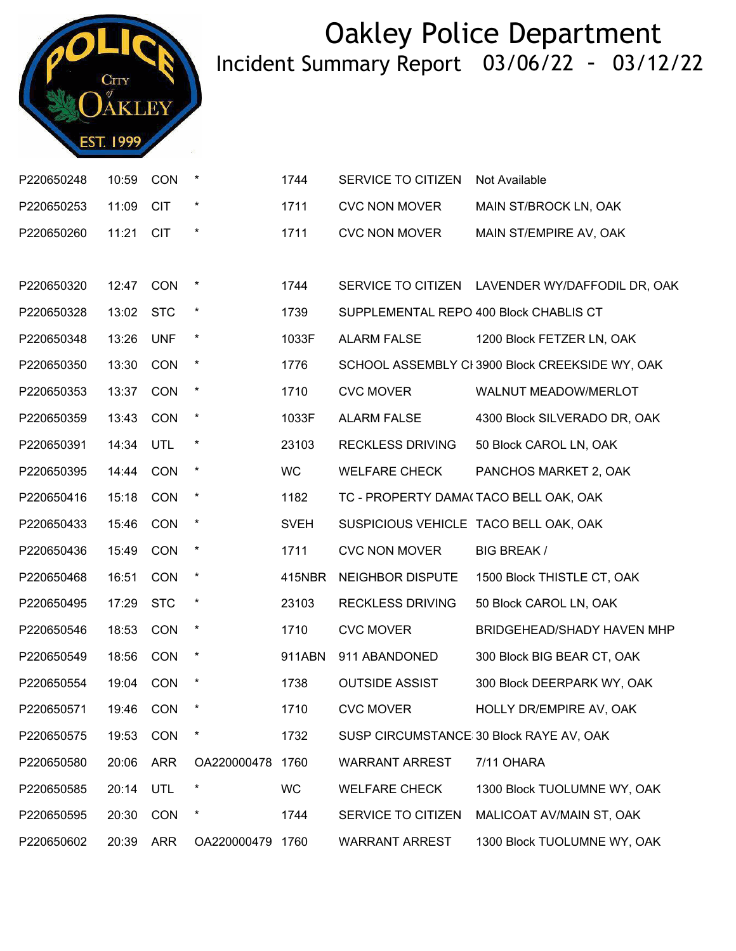

| P220650248 | 10:59 | <b>CON</b> | $\star$          | 1744        | SERVICE TO CITIZEN                     | Not Available                                   |
|------------|-------|------------|------------------|-------------|----------------------------------------|-------------------------------------------------|
| P220650253 | 11:09 | <b>CIT</b> | $\star$          | 1711        | <b>CVC NON MOVER</b>                   | MAIN ST/BROCK LN, OAK                           |
| P220650260 | 11:21 | <b>CIT</b> | $\star$          | 1711        | <b>CVC NON MOVER</b>                   | MAIN ST/EMPIRE AV, OAK                          |
|            |       |            |                  |             |                                        |                                                 |
| P220650320 | 12:47 | <b>CON</b> | $\ast$           | 1744        | SERVICE TO CITIZEN                     | LAVENDER WY/DAFFODIL DR, OAK                    |
| P220650328 | 13:02 | <b>STC</b> | $\ast$           | 1739        | SUPPLEMENTAL REPO 400 Block CHABLIS CT |                                                 |
| P220650348 | 13:26 | <b>UNF</b> | $\ast$           | 1033F       | <b>ALARM FALSE</b>                     | 1200 Block FETZER LN, OAK                       |
| P220650350 | 13:30 | CON        | $\star$          | 1776        |                                        | SCHOOL ASSEMBLY CI 3900 Block CREEKSIDE WY, OAK |
| P220650353 | 13:37 | CON        | $\star$          | 1710        | <b>CVC MOVER</b>                       | WALNUT MEADOW/MERLOT                            |
| P220650359 | 13:43 | <b>CON</b> | $\ast$           | 1033F       | <b>ALARM FALSE</b>                     | 4300 Block SILVERADO DR, OAK                    |
| P220650391 | 14:34 | <b>UTL</b> | $\star$          | 23103       | <b>RECKLESS DRIVING</b>                | 50 Block CAROL LN, OAK                          |
| P220650395 | 14:44 | <b>CON</b> | $\star$          | <b>WC</b>   | <b>WELFARE CHECK</b>                   | PANCHOS MARKET 2, OAK                           |
| P220650416 | 15:18 | <b>CON</b> | $\ast$           | 1182        |                                        | TC - PROPERTY DAMA(TACO BELL OAK, OAK           |
| P220650433 | 15:46 | CON        | $\star$          | <b>SVEH</b> | SUSPICIOUS VEHICLE TACO BELL OAK, OAK  |                                                 |
| P220650436 | 15:49 | CON        | $\star$          | 1711        | <b>CVC NON MOVER</b>                   | <b>BIG BREAK/</b>                               |
| P220650468 | 16:51 | <b>CON</b> | $\ast$           | 415NBR      | <b>NEIGHBOR DISPUTE</b>                | 1500 Block THISTLE CT, OAK                      |
| P220650495 | 17:29 | <b>STC</b> | $\star$          | 23103       | <b>RECKLESS DRIVING</b>                | 50 Block CAROL LN, OAK                          |
| P220650546 | 18:53 | <b>CON</b> | $\star$          | 1710        | <b>CVC MOVER</b>                       | BRIDGEHEAD/SHADY HAVEN MHP                      |
| P220650549 | 18:56 | <b>CON</b> | $\star$          | 911ABN      | 911 ABANDONED                          | 300 Block BIG BEAR CT, OAK                      |
| P220650554 | 19:04 | <b>CON</b> | $\ast$           | 1738        | <b>OUTSIDE ASSIST</b>                  | 300 Block DEERPARK WY, OAK                      |
| P220650571 | 19:46 | <b>CON</b> | $\ast$           | 1710        | <b>CVC MOVER</b>                       | HOLLY DR/EMPIRE AV, OAK                         |
| P220650575 | 19:53 | <b>CON</b> |                  | 1732        |                                        | SUSP CIRCUMSTANCE 30 Block RAYE AV, OAK         |
| P220650580 | 20:06 | <b>ARR</b> | OA220000478      | 1760        | <b>WARRANT ARREST</b>                  | 7/11 OHARA                                      |
| P220650585 | 20:14 | <b>UTL</b> | $\ast$           | <b>WC</b>   | <b>WELFARE CHECK</b>                   | 1300 Block TUOLUMNE WY, OAK                     |
| P220650595 | 20:30 | <b>CON</b> | $\ast$           | 1744        | SERVICE TO CITIZEN                     | MALICOAT AV/MAIN ST, OAK                        |
| P220650602 | 20:39 | <b>ARR</b> | OA220000479 1760 |             | <b>WARRANT ARREST</b>                  | 1300 Block TUOLUMNE WY, OAK                     |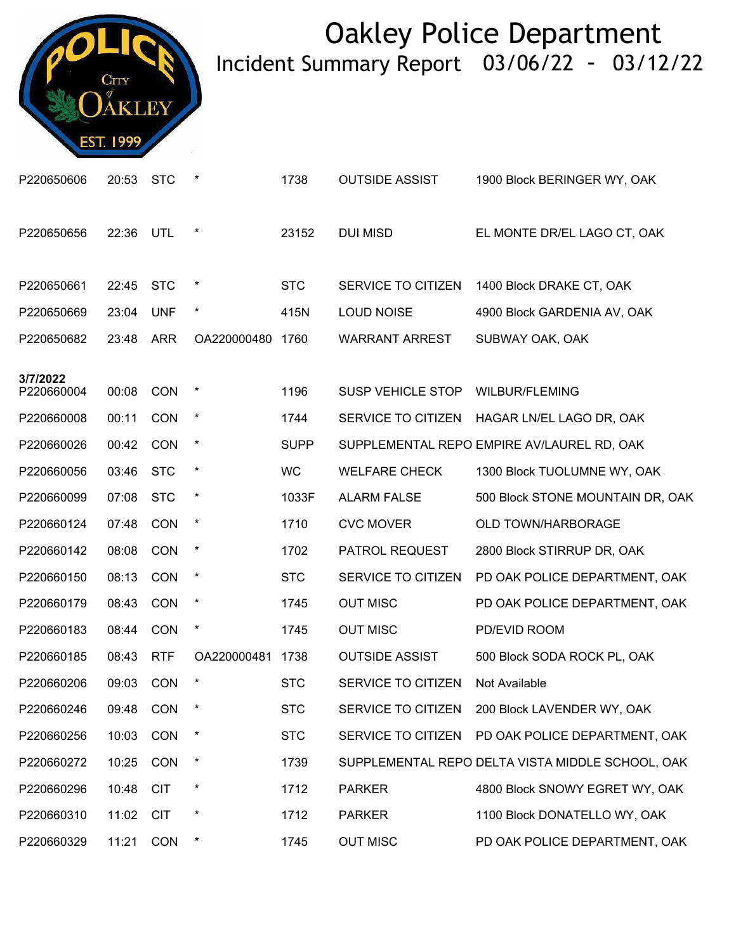

| P220650606             | 20:53 | <b>STC</b> | $\ast$           | 1738        | <b>OUTSIDE ASSIST</b>    | 1900 Block BERINGER WY, OAK                      |
|------------------------|-------|------------|------------------|-------------|--------------------------|--------------------------------------------------|
| P220650656             | 22:36 | UTL        | $\star$          | 23152       | <b>DUI MISD</b>          | EL MONTE DR/EL LAGO CT, OAK                      |
| P220650661             | 22:45 | <b>STC</b> | $\star$          | <b>STC</b>  | SERVICE TO CITIZEN       | 1400 Block DRAKE CT, OAK                         |
| P220650669             | 23:04 | <b>UNF</b> | $\ast$           | 415N        | <b>LOUD NOISE</b>        | 4900 Block GARDENIA AV, OAK                      |
| P220650682             | 23:48 | <b>ARR</b> | OA220000480 1760 |             | <b>WARRANT ARREST</b>    | SUBWAY OAK, OAK                                  |
|                        |       |            |                  |             |                          |                                                  |
| 3/7/2022<br>P220660004 | 00:08 | CON        | $\star$          | 1196        | <b>SUSP VEHICLE STOP</b> | <b>WILBUR/FLEMING</b>                            |
| P220660008             | 00:11 | <b>CON</b> | $\ast$           | 1744        | SERVICE TO CITIZEN       | HAGAR LN/EL LAGO DR, OAK                         |
| P220660026             | 00:42 | <b>CON</b> | $\star$          | <b>SUPP</b> |                          | SUPPLEMENTAL REPO EMPIRE AV/LAUREL RD, OAK       |
| P220660056             | 03:46 | <b>STC</b> | $\star$          | <b>WC</b>   | <b>WELFARE CHECK</b>     | 1300 Block TUOLUMNE WY, OAK                      |
| P220660099             | 07:08 | <b>STC</b> | $\ast$           | 1033F       | <b>ALARM FALSE</b>       | 500 Block STONE MOUNTAIN DR, OAK                 |
| P220660124             | 07:48 | CON        | $\star$          | 1710        | <b>CVC MOVER</b>         | OLD TOWN/HARBORAGE                               |
| P220660142             | 08:08 | <b>CON</b> | $\star$          | 1702        | PATROL REQUEST           | 2800 Block STIRRUP DR, OAK                       |
| P220660150             | 08:13 | <b>CON</b> | $\ast$           | <b>STC</b>  | SERVICE TO CITIZEN       | PD OAK POLICE DEPARTMENT, OAK                    |
| P220660179             | 08:43 | <b>CON</b> | $\star$          | 1745        | <b>OUT MISC</b>          | PD OAK POLICE DEPARTMENT, OAK                    |
| P220660183             | 08:44 | <b>CON</b> | $\star$          | 1745        | <b>OUT MISC</b>          | PD/EVID ROOM                                     |
| P220660185             | 08:43 | <b>RTF</b> | OA220000481 1738 |             | <b>OUTSIDE ASSIST</b>    | 500 Block SODA ROCK PL, OAK                      |
| P220660206             | 09:03 | <b>CON</b> | $\ast$           | <b>STC</b>  | SERVICE TO CITIZEN       | Not Available                                    |
| P220660246             | 09:48 | <b>CON</b> | $\ast$           | <b>STC</b>  | SERVICE TO CITIZEN       | 200 Block LAVENDER WY, OAK                       |
| P220660256             | 10:03 | <b>CON</b> | $\ast$           | <b>STC</b>  |                          | SERVICE TO CITIZEN PD OAK POLICE DEPARTMENT, OAK |
| P220660272             | 10:25 | CON        | $\ast$           | 1739        |                          | SUPPLEMENTAL REPO DELTA VISTA MIDDLE SCHOOL, OAK |
| P220660296             | 10:48 | <b>CIT</b> | $\ast$           | 1712        | <b>PARKER</b>            | 4800 Block SNOWY EGRET WY, OAK                   |
| P220660310             | 11:02 | <b>CIT</b> | $\ast$           | 1712        | <b>PARKER</b>            | 1100 Block DONATELLO WY, OAK                     |
| P220660329             | 11:21 | CON        | $\ast$           | 1745        | <b>OUT MISC</b>          | PD OAK POLICE DEPARTMENT, OAK                    |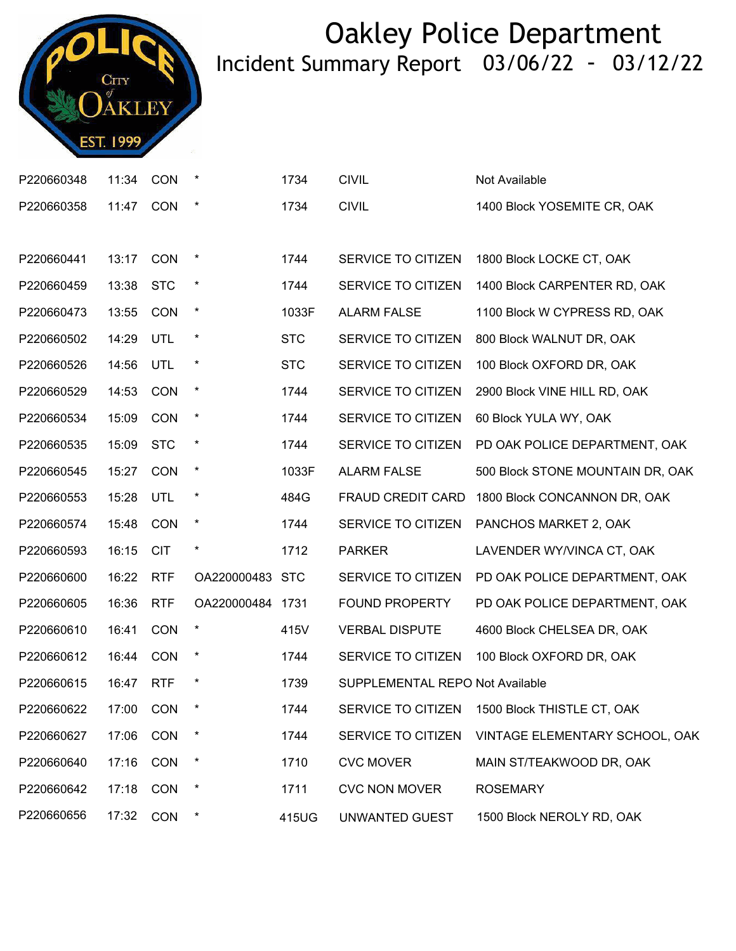

| P220660348 | 11:34 | <b>CON</b> | $\ast$           | 1734       | <b>CIVIL</b>                    | Not Available                    |
|------------|-------|------------|------------------|------------|---------------------------------|----------------------------------|
| P220660358 | 11:47 | CON        | $\ast$           | 1734       | <b>CIVIL</b>                    | 1400 Block YOSEMITE CR, OAK      |
|            |       |            |                  |            |                                 |                                  |
| P220660441 | 13:17 | CON        | $\ast$           | 1744       | SERVICE TO CITIZEN              | 1800 Block LOCKE CT, OAK         |
| P220660459 | 13:38 | <b>STC</b> | $\ast$           | 1744       | SERVICE TO CITIZEN              | 1400 Block CARPENTER RD, OAK     |
| P220660473 | 13:55 | <b>CON</b> | $\ast$           | 1033F      | <b>ALARM FALSE</b>              | 1100 Block W CYPRESS RD, OAK     |
| P220660502 | 14:29 | UTL        | $\ast$           | <b>STC</b> | SERVICE TO CITIZEN              | 800 Block WALNUT DR, OAK         |
| P220660526 | 14:56 | UTL        | $\ast$           | <b>STC</b> | SERVICE TO CITIZEN              | 100 Block OXFORD DR, OAK         |
| P220660529 | 14:53 | <b>CON</b> | $\star$          | 1744       | SERVICE TO CITIZEN              | 2900 Block VINE HILL RD, OAK     |
| P220660534 | 15:09 | CON        | $\ast$           | 1744       | SERVICE TO CITIZEN              | 60 Block YULA WY, OAK            |
| P220660535 | 15:09 | <b>STC</b> | $\star$          | 1744       | SERVICE TO CITIZEN              | PD OAK POLICE DEPARTMENT, OAK    |
| P220660545 | 15:27 | CON        | $\star$          | 1033F      | <b>ALARM FALSE</b>              | 500 Block STONE MOUNTAIN DR, OAK |
| P220660553 | 15:28 | UTL        | $\ast$           | 484G       | <b>FRAUD CREDIT CARD</b>        | 1800 Block CONCANNON DR, OAK     |
| P220660574 | 15:48 | CON        | $\ast$           | 1744       | SERVICE TO CITIZEN              | PANCHOS MARKET 2, OAK            |
| P220660593 | 16:15 | <b>CIT</b> | $\ast$           | 1712       | <b>PARKER</b>                   | LAVENDER WY/VINCA CT, OAK        |
| P220660600 | 16:22 | <b>RTF</b> | OA220000483      | <b>STC</b> | SERVICE TO CITIZEN              | PD OAK POLICE DEPARTMENT, OAK    |
| P220660605 | 16:36 | <b>RTF</b> | OA220000484 1731 |            | FOUND PROPERTY                  | PD OAK POLICE DEPARTMENT, OAK    |
| P220660610 | 16:41 | CON        | $\ast$           | 415V       | <b>VERBAL DISPUTE</b>           | 4600 Block CHELSEA DR, OAK       |
| P220660612 | 16:44 | <b>CON</b> | $\ast$           | 1744       | SERVICE TO CITIZEN              | 100 Block OXFORD DR, OAK         |
| P220660615 | 16:47 | <b>RTF</b> | $^\ast$          | 1739       | SUPPLEMENTAL REPO Not Available |                                  |
| P220660622 | 17:00 | CON        | $\ast$           | 1744       | SERVICE TO CITIZEN              | 1500 Block THISTLE CT, OAK       |
| P220660627 | 17:06 | <b>CON</b> |                  | 1744       | SERVICE TO CITIZEN              | VINTAGE ELEMENTARY SCHOOL, OAK   |
| P220660640 | 17:16 | <b>CON</b> | $\ast$           | 1710       | <b>CVC MOVER</b>                | MAIN ST/TEAKWOOD DR, OAK         |
| P220660642 | 17:18 | <b>CON</b> | $\ast$           | 1711       | <b>CVC NON MOVER</b>            | <b>ROSEMARY</b>                  |
| P220660656 | 17:32 | CON        | $\ast$           | 415UG      | UNWANTED GUEST                  | 1500 Block NEROLY RD, OAK        |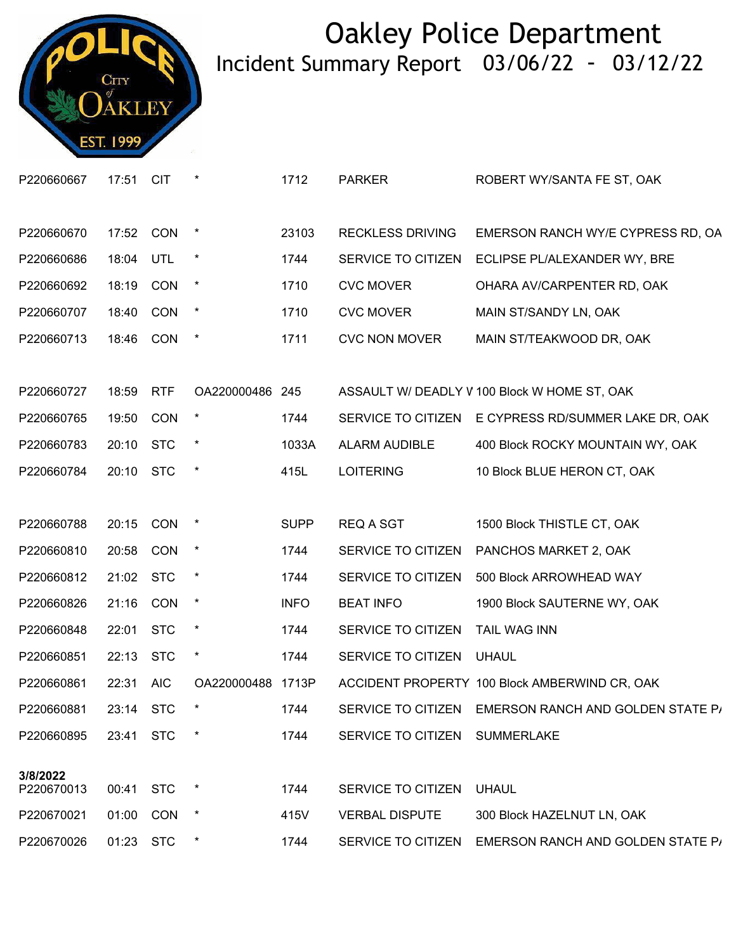

| P220660667 | 17:51     | CIT        |                 | 1712        | <b>PARKER</b>           | ROBERT WY/SANTA FE ST, OAK                           |
|------------|-----------|------------|-----------------|-------------|-------------------------|------------------------------------------------------|
| P220660670 | 17:52 CON |            | $\pmb{\ast}$    | 23103       | <b>RECKLESS DRIVING</b> | EMERSON RANCH WY/E CYPRESS RD, OA                    |
| P220660686 | 18:04     | <b>UTL</b> | $\ast$          | 1744        | SERVICE TO CITIZEN      | ECLIPSE PL/ALEXANDER WY, BRE                         |
| P220660692 | 18:19     | CON        | $\star$         | 1710        | <b>CVC MOVER</b>        | OHARA AV/CARPENTER RD, OAK                           |
| P220660707 | 18:40     | CON        | $\star$         | 1710        | <b>CVC MOVER</b>        | MAIN ST/SANDY LN, OAK                                |
| P220660713 | 18:46     | CON        | $\ast$          | 1711        | <b>CVC NON MOVER</b>    | MAIN ST/TEAKWOOD DR, OAK                             |
|            |           |            |                 |             |                         |                                                      |
| P220660727 | 18:59     | <b>RTF</b> | OA220000486 245 |             |                         | ASSAULT W/ DEADLY V 100 Block W HOME ST, OAK         |
| P220660765 | 19:50     | <b>CON</b> | $\ast$          | 1744        |                         | SERVICE TO CITIZEN E CYPRESS RD/SUMMER LAKE DR, OAK  |
| P220660783 | 20:10 STC |            | $\star$         | 1033A       | ALARM AUDIBLE           | 400 Block ROCKY MOUNTAIN WY, OAK                     |
| P220660784 | 20:10 STC |            | $\ast$          | 415L        | <b>LOITERING</b>        | 10 Block BLUE HERON CT, OAK                          |
|            |           |            |                 |             |                         |                                                      |
| P220660788 | 20:15     | <b>CON</b> | *               | <b>SUPP</b> | <b>REQ A SGT</b>        | 1500 Block THISTLE CT, OAK                           |
| P220660810 | 20:58     | CON        | $\star$         | 1744        | SERVICE TO CITIZEN      | PANCHOS MARKET 2, OAK                                |
| P220660812 | 21:02     | <b>STC</b> | $\star$         | 1744        | SERVICE TO CITIZEN      | 500 Block ARROWHEAD WAY                              |
| P220660826 | 21:16 CON |            | $\star$         | <b>INFO</b> | <b>BEAT INFO</b>        | 1900 Block SAUTERNE WY, OAK                          |
| P220660848 | 22:01 STC |            | $\star$         | 1744        | SERVICE TO CITIZEN      | <b>TAIL WAG INN</b>                                  |
| P220660851 | 22:13     | <b>STC</b> | $\ast$          | 1744        | SERVICE TO CITIZEN      | <b>UHAUL</b>                                         |
| P220660861 | 22:31     | <b>AIC</b> | OA220000488     | 1713P       |                         | ACCIDENT PROPERTY 100 Block AMBERWIND CR, OAK        |
| P220660881 | 23:14 STC |            | $^\star$        | 1744        |                         | SERVICE TO CITIZEN EMERSON RANCH AND GOLDEN STATE P/ |
| P220660895 | 23:41     | <b>STC</b> |                 | 1744        | SERVICE TO CITIZEN      | <b>SUMMERLAKE</b>                                    |
| 3/8/2022   |           |            |                 |             |                         |                                                      |
| P220670013 | 00:41     | <b>STC</b> | $\ast$          | 1744        | SERVICE TO CITIZEN      | <b>UHAUL</b>                                         |
| P220670021 | 01:00     | <b>CON</b> | *               | 415V        | <b>VERBAL DISPUTE</b>   | 300 Block HAZELNUT LN, OAK                           |
| P220670026 | 01:23     | <b>STC</b> | $\ast$          | 1744        | SERVICE TO CITIZEN      | EMERSON RANCH AND GOLDEN STATE P/                    |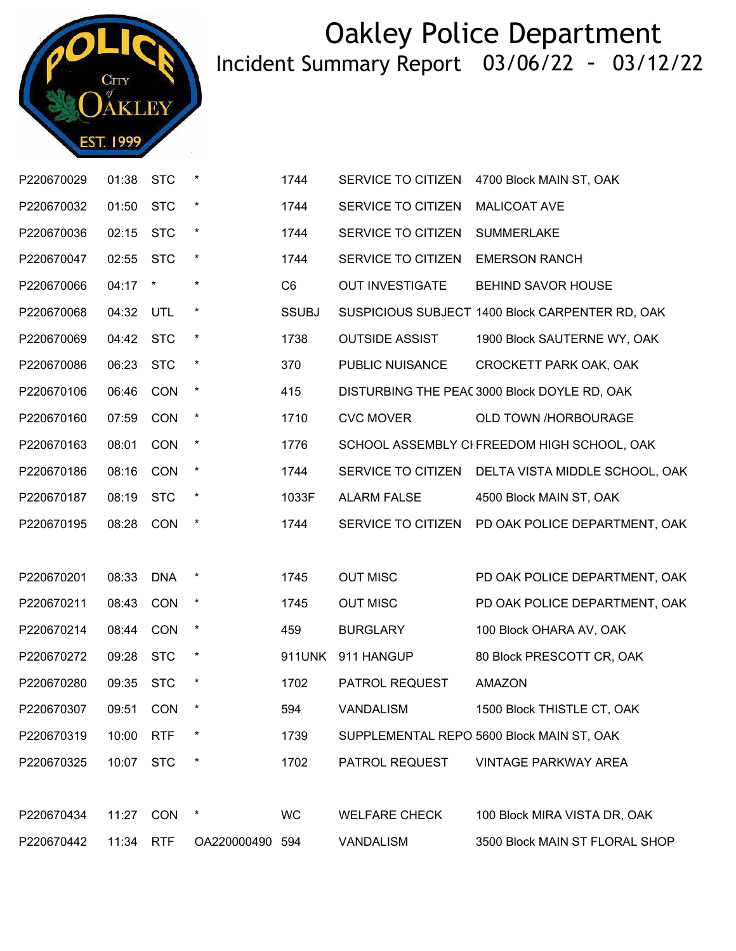

| P220670029 | 01:38     | <b>STC</b> | $\ast$          | 1744           | SERVICE TO CITIZEN     | 4700 Block MAIN ST, OAK                           |
|------------|-----------|------------|-----------------|----------------|------------------------|---------------------------------------------------|
| P220670032 | 01:50     | <b>STC</b> | $\star$         | 1744           | SERVICE TO CITIZEN     | <b>MALICOAT AVE</b>                               |
| P220670036 | 02:15 STC |            | $\star$         | 1744           | SERVICE TO CITIZEN     | <b>SUMMERLAKE</b>                                 |
| P220670047 | 02:55     | <b>STC</b> | $\star$         | 1744           | SERVICE TO CITIZEN     | <b>EMERSON RANCH</b>                              |
| P220670066 | 04:17     | $\star$    | $\ast$          | C <sub>6</sub> | <b>OUT INVESTIGATE</b> | <b>BEHIND SAVOR HOUSE</b>                         |
| P220670068 | 04:32     | <b>UTL</b> | $\star$         | <b>SSUBJ</b>   |                        | SUSPICIOUS SUBJECT 1400 Block CARPENTER RD, OAK   |
| P220670069 | 04:42     | <b>STC</b> | $\star$         | 1738           | <b>OUTSIDE ASSIST</b>  | 1900 Block SAUTERNE WY, OAK                       |
| P220670086 | 06:23     | <b>STC</b> | $\star$         | 370            | PUBLIC NUISANCE        | CROCKETT PARK OAK, OAK                            |
| P220670106 | 06:46     | CON        | $\star$         | 415            |                        | DISTURBING THE PEAC 3000 Block DOYLE RD, OAK      |
| P220670160 | 07:59     | CON        | $\star$         | 1710           | <b>CVC MOVER</b>       | OLD TOWN /HORBOURAGE                              |
| P220670163 | 08:01     | <b>CON</b> | $\star$         | 1776           |                        | SCHOOL ASSEMBLY CI FREEDOM HIGH SCHOOL, OAK       |
| P220670186 | 08:16     | <b>CON</b> | $\star$         | 1744           |                        | SERVICE TO CITIZEN DELTA VISTA MIDDLE SCHOOL, OAK |
| P220670187 | 08:19     | <b>STC</b> | $\star$         | 1033F          | <b>ALARM FALSE</b>     | 4500 Block MAIN ST, OAK                           |
| P220670195 | 08:28     | CON        | $\ast$          | 1744           | SERVICE TO CITIZEN     | PD OAK POLICE DEPARTMENT, OAK                     |
|            |           |            |                 |                |                        |                                                   |
| P220670201 | 08:33     | <b>DNA</b> | $\star$         | 1745           | <b>OUT MISC</b>        | PD OAK POLICE DEPARTMENT, OAK                     |
| P220670211 | 08:43     | CON        | $\star$         | 1745           | <b>OUT MISC</b>        | PD OAK POLICE DEPARTMENT, OAK                     |
| P220670214 | 08:44     | <b>CON</b> | $\star$         | 459            | <b>BURGLARY</b>        | 100 Block OHARA AV, OAK                           |
| P220670272 | 09:28     | <b>STC</b> | $\star$         | 911UNK         | 911 HANGUP             | 80 Block PRESCOTT CR, OAK                         |
| P220670280 | 09:35     | <b>STC</b> | $\ast$          | 1702           | PATROL REQUEST         | <b>AMAZON</b>                                     |
| P220670307 | 09:51 CON |            | $\ast$          | 594            | VANDALISM              | 1500 Block THISTLE CT, OAK                        |
| P220670319 | 10:00     | <b>RTF</b> | $\ast$          | 1739           |                        | SUPPLEMENTAL REPO 5600 Block MAIN ST, OAK         |
| P220670325 | 10:07     | <b>STC</b> | $\ast$          | 1702           | PATROL REQUEST         | <b>VINTAGE PARKWAY AREA</b>                       |
|            |           |            |                 |                |                        |                                                   |
| P220670434 | 11:27     | <b>CON</b> | $\star$         | <b>WC</b>      | <b>WELFARE CHECK</b>   | 100 Block MIRA VISTA DR, OAK                      |
| P220670442 | 11:34     | <b>RTF</b> | OA220000490 594 |                | <b>VANDALISM</b>       | 3500 Block MAIN ST FLORAL SHOP                    |
|            |           |            |                 |                |                        |                                                   |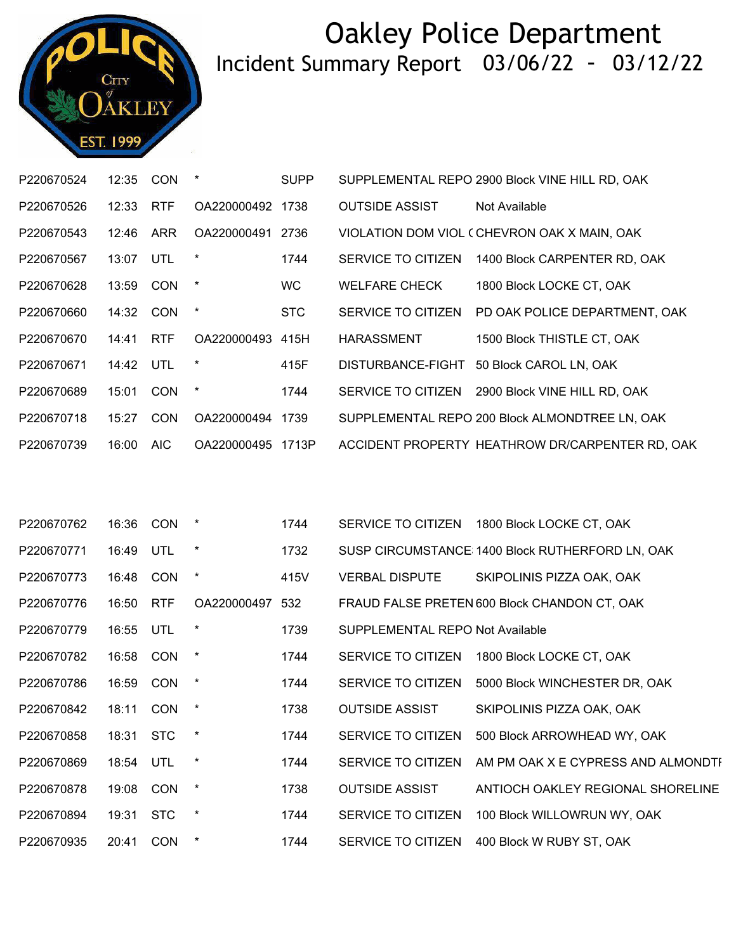

| P220670524 | 12:35 | CON        | $\star$           | <b>SUPP</b> |                                 | SUPPLEMENTAL REPO 2900 Block VINE HILL RD, OAK  |
|------------|-------|------------|-------------------|-------------|---------------------------------|-------------------------------------------------|
| P220670526 | 12:33 | <b>RTF</b> | OA220000492 1738  |             | <b>OUTSIDE ASSIST</b>           | Not Available                                   |
| P220670543 | 12:46 | <b>ARR</b> | OA220000491 2736  |             |                                 | VIOLATION DOM VIOL (CHEVRON OAK X MAIN, OAK     |
| P220670567 | 13:07 | UTL        | $\ast$            | 1744        | SERVICE TO CITIZEN              | 1400 Block CARPENTER RD, OAK                    |
| P220670628 | 13:59 | CON        | $\ast$            | <b>WC</b>   | <b>WELFARE CHECK</b>            | 1800 Block LOCKE CT, OAK                        |
| P220670660 | 14:32 | <b>CON</b> | $\ast$            | <b>STC</b>  | SERVICE TO CITIZEN              | PD OAK POLICE DEPARTMENT, OAK                   |
| P220670670 | 14:41 | <b>RTF</b> | OA220000493       | 415H        | <b>HARASSMENT</b>               | 1500 Block THISTLE CT, OAK                      |
| P220670671 | 14:42 | UTL        | $\star$           | 415F        | DISTURBANCE-FIGHT               | 50 Block CAROL LN, OAK                          |
| P220670689 | 15:01 | CON        | $\star$           | 1744        | SERVICE TO CITIZEN              | 2900 Block VINE HILL RD, OAK                    |
| P220670718 | 15:27 | CON        | OA220000494 1739  |             |                                 | SUPPLEMENTAL REPO 200 Block ALMONDTREE LN, OAK  |
| P220670739 | 16:00 | <b>AIC</b> | OA220000495 1713P |             |                                 | ACCIDENT PROPERTY HEATHROW DR/CARPENTER RD, OAK |
|            |       |            |                   |             |                                 |                                                 |
|            |       |            |                   |             |                                 |                                                 |
| P220670762 | 16:36 | CON        |                   | 1744        | SERVICE TO CITIZEN              | 1800 Block LOCKE CT, OAK                        |
| P220670771 | 16:49 | UTL        | $\ast$            | 1732        |                                 | SUSP CIRCUMSTANCE 1400 Block RUTHERFORD LN, OAK |
| P220670773 | 16:48 | CON        | $\star$           | 415V        | <b>VERBAL DISPUTE</b>           | SKIPOLINIS PIZZA OAK, OAK                       |
| P220670776 | 16:50 | <b>RTF</b> | OA220000497       | 532         |                                 | FRAUD FALSE PRETEN 600 Block CHANDON CT, OAK    |
| P220670779 | 16:55 | <b>UTL</b> | $\star$           | 1739        | SUPPLEMENTAL REPO Not Available |                                                 |
| P220670782 | 16:58 | CON        | $\ast$            | 1744        | SERVICE TO CITIZEN              | 1800 Block LOCKE CT, OAK                        |
| P220670786 | 16:59 | <b>CON</b> | $\ast$            | 1744        | SERVICE TO CITIZEN              | 5000 Block WINCHESTER DR, OAK                   |

| 1 <del>L</del> LVVIVIVV | 1 U.U. |            |         | .    |                       | <u>ULINIUL TU UITILLII – UUUU DIUUN IITIUTILUTLIN DIN. UINN</u> |
|-------------------------|--------|------------|---------|------|-----------------------|-----------------------------------------------------------------|
| P220670842              | 18:11  | <b>CON</b> | $\star$ | 1738 | <b>OUTSIDE ASSIST</b> | SKIPOLINIS PIZZA OAK, OAK                                       |
| P220670858              | 18:31  | <b>STC</b> | $\ast$  | 1744 | SERVICE TO CITIZEN    | 500 Block ARROWHEAD WY, OAK                                     |
| P220670869              | 18:54  | UTL        | $\ast$  | 1744 | SERVICE TO CITIZEN    | AM PM OAK X E CYPRESS AND ALMONDTI                              |
| P220670878              | 19:08  | <b>CON</b> | $\ast$  | 1738 | <b>OUTSIDE ASSIST</b> | ANTIOCH OAKLEY REGIONAL SHORELINE                               |
| P220670894              | 19:31  | <b>STC</b> | $\ast$  | 1744 | SERVICE TO CITIZEN    | 100 Block WILLOWRUN WY, OAK                                     |
| P220670935              | 20:41  | <b>CON</b> | $\ast$  | 1744 | SERVICE TO CITIZEN    | 400 Block W RUBY ST, OAK                                        |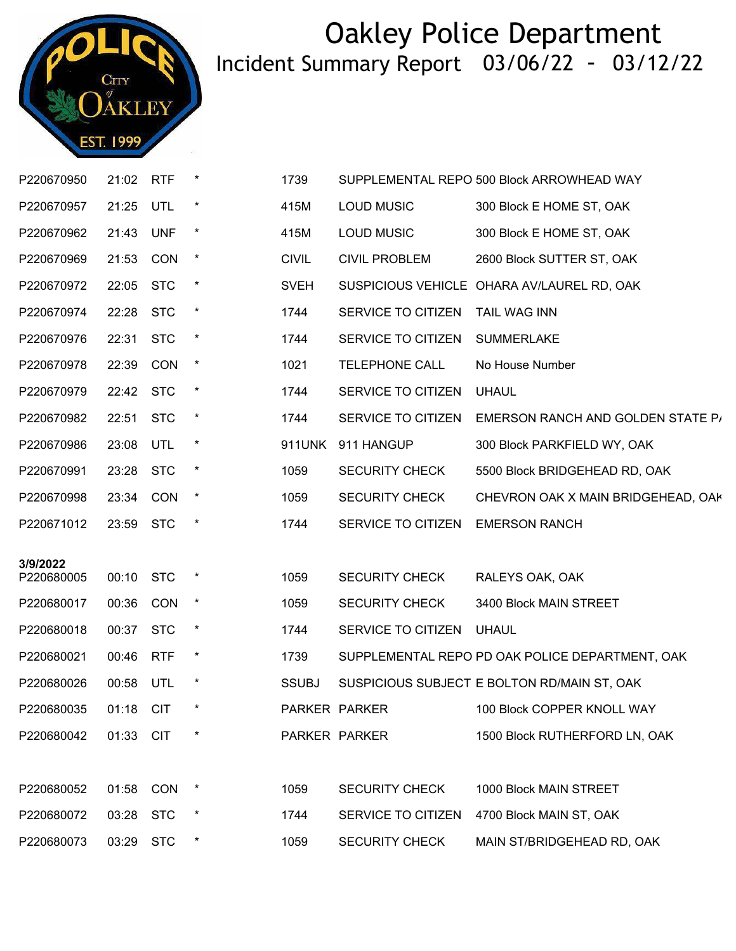

| P220670950             | 21:02     | <b>RTF</b> | $\star$  | 1739         |                       | SUPPLEMENTAL REPO 500 Block ARROWHEAD WAY       |
|------------------------|-----------|------------|----------|--------------|-----------------------|-------------------------------------------------|
| P220670957             | 21:25     | UTL        |          | 415M         | <b>LOUD MUSIC</b>     | 300 Block E HOME ST, OAK                        |
| P220670962             | 21:43     | <b>UNF</b> | $\star$  | 415M         | <b>LOUD MUSIC</b>     | 300 Block E HOME ST, OAK                        |
| P220670969             | 21:53     | <b>CON</b> | $\star$  | <b>CIVIL</b> | <b>CIVIL PROBLEM</b>  | 2600 Block SUTTER ST, OAK                       |
| P220670972             | 22:05 STC |            | $\star$  | <b>SVEH</b>  |                       | SUSPICIOUS VEHICLE OHARA AV/LAUREL RD, OAK      |
| P220670974             | 22:28 STC |            | $\star$  | 1744         | SERVICE TO CITIZEN    | <b>TAIL WAG INN</b>                             |
| P220670976             | 22:31     | <b>STC</b> | $\star$  | 1744         | SERVICE TO CITIZEN    | <b>SUMMERLAKE</b>                               |
| P220670978             | 22:39     | CON        | $\star$  | 1021         | <b>TELEPHONE CALL</b> | No House Number                                 |
| P220670979             | 22:42 STC |            | $\star$  | 1744         | SERVICE TO CITIZEN    | <b>UHAUL</b>                                    |
| P220670982             | 22:51     | <b>STC</b> | $\star$  | 1744         | SERVICE TO CITIZEN    | EMERSON RANCH AND GOLDEN STATE P/               |
| P220670986             | 23:08     | UTL        | $\star$  | 911UNK       | 911 HANGUP            | 300 Block PARKFIELD WY, OAK                     |
| P220670991             | 23:28 STC |            | $\star$  | 1059         | <b>SECURITY CHECK</b> | 5500 Block BRIDGEHEAD RD, OAK                   |
| P220670998             | 23:34     | <b>CON</b> | $\star$  | 1059         | <b>SECURITY CHECK</b> | CHEVRON OAK X MAIN BRIDGEHEAD, OAK              |
| P220671012             | 23:59     | <b>STC</b> | $\star$  | 1744         | SERVICE TO CITIZEN    | <b>EMERSON RANCH</b>                            |
|                        |           |            |          |              |                       |                                                 |
| 3/9/2022<br>P220680005 | 00:10     | <b>STC</b> | $^\star$ | 1059         | <b>SECURITY CHECK</b> | RALEYS OAK, OAK                                 |
| P220680017             | 00:36     | <b>CON</b> | $\star$  | 1059         | <b>SECURITY CHECK</b> | 3400 Block MAIN STREET                          |
| P220680018             | 00:37 STC |            | $\star$  | 1744         | SERVICE TO CITIZEN    | <b>UHAUL</b>                                    |
| P220680021             | 00:46     | <b>RTF</b> | $\star$  | 1739         |                       | SUPPLEMENTAL REPO PD OAK POLICE DEPARTMENT, OAK |
| P220680026             | 00:58     | UTL        | $\ast$   | <b>SSUBJ</b> |                       | SUSPICIOUS SUBJECT E BOLTON RD/MAIN ST, OAK     |
| P220680035             | 01:18     | <b>CIT</b> | $\star$  |              | PARKER PARKER         | 100 Block COPPER KNOLL WAY                      |
| P220680042             | 01:33     | <b>CIT</b> |          |              | PARKER PARKER         | 1500 Block RUTHERFORD LN, OAK                   |
|                        |           |            |          |              |                       |                                                 |
| P220680052             | 01:58 CON |            | $\star$  | 1059         | <b>SECURITY CHECK</b> | 1000 Block MAIN STREET                          |
| P220680072             | 03:28     | <b>STC</b> | $\ast$   | 1744         | SERVICE TO CITIZEN    | 4700 Block MAIN ST, OAK                         |
| P220680073             | 03:29     | <b>STC</b> | $\ast$   | 1059         | <b>SECURITY CHECK</b> | MAIN ST/BRIDGEHEAD RD, OAK                      |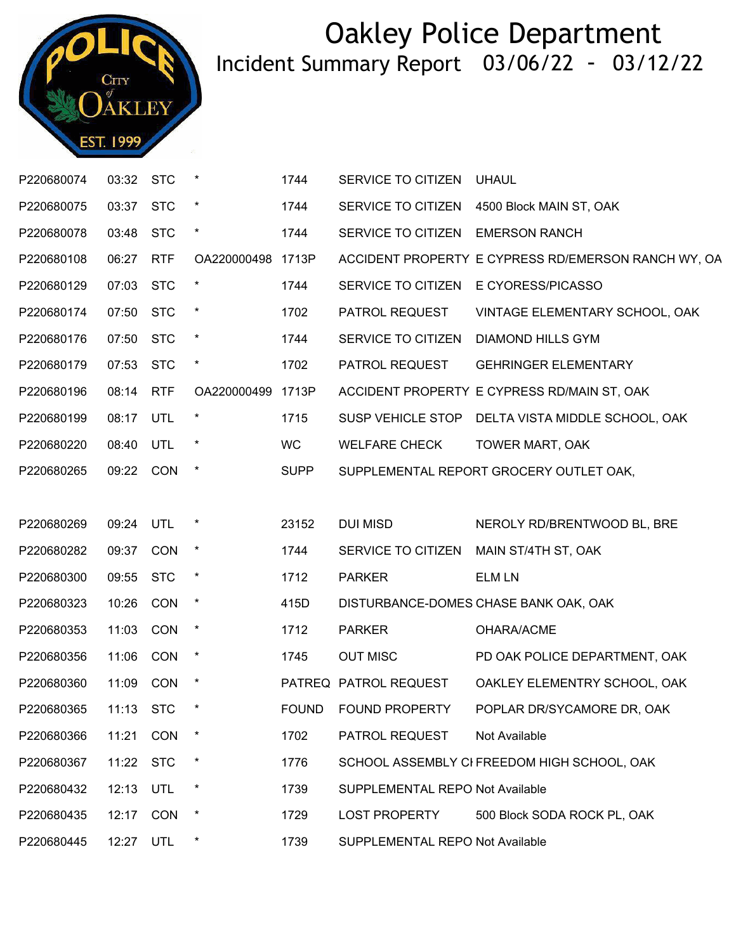

| P220680074 | 03:32     | <b>STC</b> | $\ast$            | 1744        | SERVICE TO CITIZEN              | <b>UHAUL</b>                                        |
|------------|-----------|------------|-------------------|-------------|---------------------------------|-----------------------------------------------------|
| P220680075 | 03:37     | <b>STC</b> | *                 | 1744        | SERVICE TO CITIZEN              | 4500 Block MAIN ST, OAK                             |
| P220680078 | 03:48     | <b>STC</b> | $\ast$            | 1744        | SERVICE TO CITIZEN              | <b>EMERSON RANCH</b>                                |
| P220680108 | 06:27     | <b>RTF</b> | OA220000498 1713P |             |                                 | ACCIDENT PROPERTY E CYPRESS RD/EMERSON RANCH WY, OA |
| P220680129 | 07:03     | <b>STC</b> |                   | 1744        | SERVICE TO CITIZEN              | E CYORESS/PICASSO                                   |
| P220680174 | 07:50 STC |            | $\star$           | 1702        | PATROL REQUEST                  | VINTAGE ELEMENTARY SCHOOL, OAK                      |
| P220680176 | 07:50     | <b>STC</b> | $\star$           | 1744        | SERVICE TO CITIZEN              | <b>DIAMOND HILLS GYM</b>                            |
| P220680179 | 07:53     | <b>STC</b> | $\ast$            | 1702        | PATROL REQUEST                  | <b>GEHRINGER ELEMENTARY</b>                         |
| P220680196 | 08:14     | <b>RTF</b> | OA220000499       | 1713P       |                                 | ACCIDENT PROPERTY E CYPRESS RD/MAIN ST, OAK         |
| P220680199 | 08:17     | <b>UTL</b> | $\star$           | 1715        | SUSP VEHICLE STOP               | DELTA VISTA MIDDLE SCHOOL, OAK                      |
| P220680220 | 08:40     | <b>UTL</b> |                   | <b>WC</b>   | <b>WELFARE CHECK</b>            | <b>TOWER MART, OAK</b>                              |
| P220680265 | 09:22 CON |            | $\ast$            | <b>SUPP</b> |                                 | SUPPLEMENTAL REPORT GROCERY OUTLET OAK,             |
|            |           |            |                   |             |                                 |                                                     |
| P220680269 | 09:24     | <b>UTL</b> |                   | 23152       | <b>DUI MISD</b>                 | NEROLY RD/BRENTWOOD BL, BRE                         |
| P220680282 | 09:37     | <b>CON</b> | $\ast$            | 1744        | SERVICE TO CITIZEN              | MAIN ST/4TH ST, OAK                                 |
| P220680300 | 09:55     | <b>STC</b> | $\ast$            | 1712        | <b>PARKER</b>                   | <b>ELM LN</b>                                       |
| P220680323 | 10:26     | <b>CON</b> | $\ast$            | 415D        |                                 | DISTURBANCE-DOMES CHASE BANK OAK, OAK               |
| P220680353 | 11:03     | <b>CON</b> | $\star$           | 1712        | <b>PARKER</b>                   | OHARA/ACME                                          |
| P220680356 | 11:06     | <b>CON</b> | $\star$           | 1745        | <b>OUT MISC</b>                 | PD OAK POLICE DEPARTMENT, OAK                       |
| P220680360 | 11:09     | CON        | $\star$           |             | PATREQ PATROL REQUEST           | OAKLEY ELEMENTRY SCHOOL, OAK                        |
| P220680365 | 11:13 STC |            | $\ast$            |             | FOUND FOUND PROPERTY            | POPLAR DR/SYCAMORE DR, OAK                          |
| P220680366 | 11:21     | CON        |                   | 1702        | PATROL REQUEST                  | Not Available                                       |
| P220680367 | 11:22     | <b>STC</b> | $\ast$            | 1776        |                                 | SCHOOL ASSEMBLY CI FREEDOM HIGH SCHOOL, OAK         |
| P220680432 | 12:13     | UTL        |                   | 1739        | SUPPLEMENTAL REPO Not Available |                                                     |
| P220680435 | 12:17     | <b>CON</b> |                   | 1729        | <b>LOST PROPERTY</b>            | 500 Block SODA ROCK PL, OAK                         |
| P220680445 | 12:27     | UTL        |                   | 1739        | SUPPLEMENTAL REPO Not Available |                                                     |
|            |           |            |                   |             |                                 |                                                     |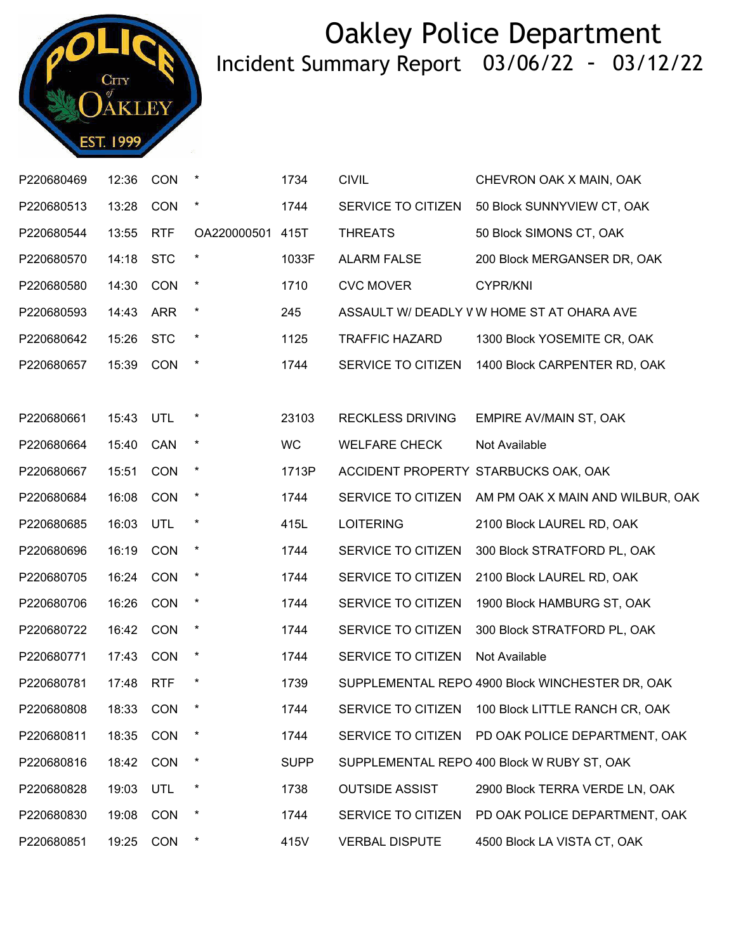

| P220680469 | 12:36 | CON        | $\ast$      | 1734        | <b>CIVIL</b>            | CHEVRON OAK X MAIN, OAK                           |
|------------|-------|------------|-------------|-------------|-------------------------|---------------------------------------------------|
| P220680513 | 13:28 | CON        | $\ast$      | 1744        | SERVICE TO CITIZEN      | 50 Block SUNNYVIEW CT, OAK                        |
| P220680544 | 13:55 | <b>RTF</b> | OA220000501 | 415T        | <b>THREATS</b>          | 50 Block SIMONS CT, OAK                           |
| P220680570 | 14:18 | <b>STC</b> | $\star$     | 1033F       | <b>ALARM FALSE</b>      | 200 Block MERGANSER DR, OAK                       |
| P220680580 | 14:30 | <b>CON</b> | $\ast$      | 1710        | <b>CVC MOVER</b>        | <b>CYPR/KNI</b>                                   |
| P220680593 | 14:43 | <b>ARR</b> | $\star$     | 245         |                         | ASSAULT W/ DEADLY V W HOME ST AT OHARA AVE        |
| P220680642 | 15:26 | <b>STC</b> | $\star$     | 1125        | <b>TRAFFIC HAZARD</b>   | 1300 Block YOSEMITE CR, OAK                       |
| P220680657 | 15:39 | <b>CON</b> | $\star$     | 1744        | SERVICE TO CITIZEN      | 1400 Block CARPENTER RD, OAK                      |
|            |       |            |             |             |                         |                                                   |
| P220680661 | 15:43 | UTL        | $\star$     | 23103       | <b>RECKLESS DRIVING</b> | EMPIRE AV/MAIN ST, OAK                            |
| P220680664 | 15:40 | CAN        | $\star$     | <b>WC</b>   | <b>WELFARE CHECK</b>    | Not Available                                     |
| P220680667 | 15:51 | <b>CON</b> | $\star$     | 1713P       |                         | ACCIDENT PROPERTY STARBUCKS OAK, OAK              |
| P220680684 | 16:08 | CON        | $\star$     | 1744        | SERVICE TO CITIZEN      | AM PM OAK X MAIN AND WILBUR, OAK                  |
| P220680685 | 16:03 | UTL        | $\ast$      | 415L        | <b>LOITERING</b>        | 2100 Block LAUREL RD, OAK                         |
| P220680696 | 16:19 | CON        | $\ast$      | 1744        | SERVICE TO CITIZEN      | 300 Block STRATFORD PL, OAK                       |
| P220680705 | 16:24 | CON        | $\star$     | 1744        | SERVICE TO CITIZEN      | 2100 Block LAUREL RD, OAK                         |
| P220680706 | 16:26 | CON        | $\ast$      | 1744        | SERVICE TO CITIZEN      | 1900 Block HAMBURG ST, OAK                        |
| P220680722 | 16:42 | <b>CON</b> | $\star$     | 1744        | SERVICE TO CITIZEN      | 300 Block STRATFORD PL, OAK                       |
| P220680771 | 17:43 | <b>CON</b> | $\star$     | 1744        | SERVICE TO CITIZEN      | Not Available                                     |
| P220680781 | 17:48 | <b>RTF</b> | $\ast$      | 1739        |                         | SUPPLEMENTAL REPO 4900 Block WINCHESTER DR, OAK   |
| P220680808 | 18:33 | CON        | $\ast$      | 1744        |                         | SERVICE TO CITIZEN 100 Block LITTLE RANCH CR, OAK |
| P220680811 | 18:35 | <b>CON</b> |             | 1744        |                         | SERVICE TO CITIZEN PD OAK POLICE DEPARTMENT, OAK  |
| P220680816 | 18:42 | <b>CON</b> | $\star$     | <b>SUPP</b> |                         | SUPPLEMENTAL REPO 400 Block W RUBY ST, OAK        |
| P220680828 | 19:03 | UTL        | $\ast$      | 1738        | <b>OUTSIDE ASSIST</b>   | 2900 Block TERRA VERDE LN, OAK                    |
| P220680830 | 19:08 | CON        |             | 1744        | SERVICE TO CITIZEN      | PD OAK POLICE DEPARTMENT, OAK                     |
| P220680851 | 19:25 | <b>CON</b> | $\ast$      | 415V        | <b>VERBAL DISPUTE</b>   | 4500 Block LA VISTA CT, OAK                       |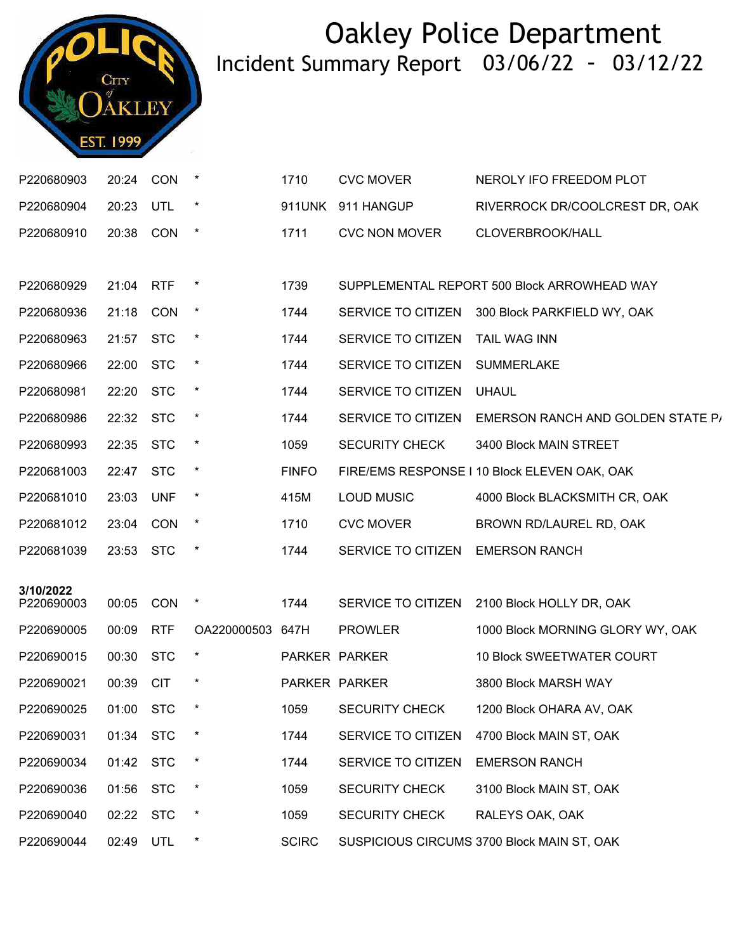

| P220680903 | 20:24     | CON        | $\star$          | 1710         | <b>CVC MOVER</b>      | NEROLY IFO FREEDOM PLOT                      |
|------------|-----------|------------|------------------|--------------|-----------------------|----------------------------------------------|
| P220680904 | 20:23     | UTL        | $\star$          | 911UNK       | 911 HANGUP            | RIVERROCK DR/COOLCREST DR, OAK               |
| P220680910 | 20:38     | <b>CON</b> | $\star$          | 1711         | <b>CVC NON MOVER</b>  | CLOVERBROOK/HALL                             |
|            |           |            |                  |              |                       |                                              |
| P220680929 | 21:04     | <b>RTF</b> | $\star$          | 1739         |                       | SUPPLEMENTAL REPORT 500 Block ARROWHEAD WAY  |
| P220680936 | 21:18     | <b>CON</b> | $\star$          | 1744         | SERVICE TO CITIZEN    | 300 Block PARKFIELD WY, OAK                  |
| P220680963 | 21:57 STC |            | $\ast$           | 1744         | SERVICE TO CITIZEN    | <b>TAIL WAG INN</b>                          |
| P220680966 | 22:00     | <b>STC</b> | $\star$          | 1744         | SERVICE TO CITIZEN    | <b>SUMMERLAKE</b>                            |
| P220680981 | 22:20     | <b>STC</b> | $\star$          | 1744         | SERVICE TO CITIZEN    | <b>UHAUL</b>                                 |
| P220680986 | 22:32     | <b>STC</b> | $\star$          | 1744         | SERVICE TO CITIZEN    | EMERSON RANCH AND GOLDEN STATE P/            |
| P220680993 | 22:35     | <b>STC</b> | $\star$          | 1059         | <b>SECURITY CHECK</b> | 3400 Block MAIN STREET                       |
| P220681003 | 22:47     | <b>STC</b> | $\star$          | <b>FINFO</b> |                       | FIRE/EMS RESPONSE I 10 Block ELEVEN OAK, OAK |
| P220681010 | 23:03     | UNF        | $\star$          | 415M         | <b>LOUD MUSIC</b>     | 4000 Block BLACKSMITH CR, OAK                |
| P220681012 | 23:04     | <b>CON</b> | $\star$          | 1710         | <b>CVC MOVER</b>      | BROWN RD/LAUREL RD, OAK                      |
| P220681039 | 23:53     | <b>STC</b> | $\star$          | 1744         | SERVICE TO CITIZEN    | <b>EMERSON RANCH</b>                         |
| 3/10/2022  |           |            |                  |              |                       |                                              |
| P220690003 | 00:05     | <b>CON</b> | $\star$          | 1744         | SERVICE TO CITIZEN    | 2100 Block HOLLY DR, OAK                     |
| P220690005 | 00:09     | <b>RTF</b> | OA220000503 647H |              | <b>PROWLER</b>        | 1000 Block MORNING GLORY WY, OAK             |
| P220690015 | 00:30     | <b>STC</b> | $\star$          |              | PARKER PARKER         | 10 Block SWEETWATER COURT                    |
| P220690021 | 00:39     | <b>CIT</b> | $\ast$           |              | PARKER PARKER         | 3800 Block MARSH WAY                         |
| P220690025 | 01:00 STC |            | $\star$          | 1059         | <b>SECURITY CHECK</b> | 1200 Block OHARA AV, OAK                     |
| P220690031 | 01:34 STC |            |                  | 1744         | SERVICE TO CITIZEN    | 4700 Block MAIN ST, OAK                      |
| P220690034 | 01:42 STC |            | $\star$          | 1744         | SERVICE TO CITIZEN    | <b>EMERSON RANCH</b>                         |
| P220690036 | 01:56     | <b>STC</b> | $\ast$           | 1059         | <b>SECURITY CHECK</b> | 3100 Block MAIN ST, OAK                      |
| P220690040 | 02:22 STC |            | $\star$          | 1059         | <b>SECURITY CHECK</b> | RALEYS OAK, OAK                              |
| P220690044 | 02:49     | UTL        | $\ast$           | <b>SCIRC</b> |                       | SUSPICIOUS CIRCUMS 3700 Block MAIN ST, OAK   |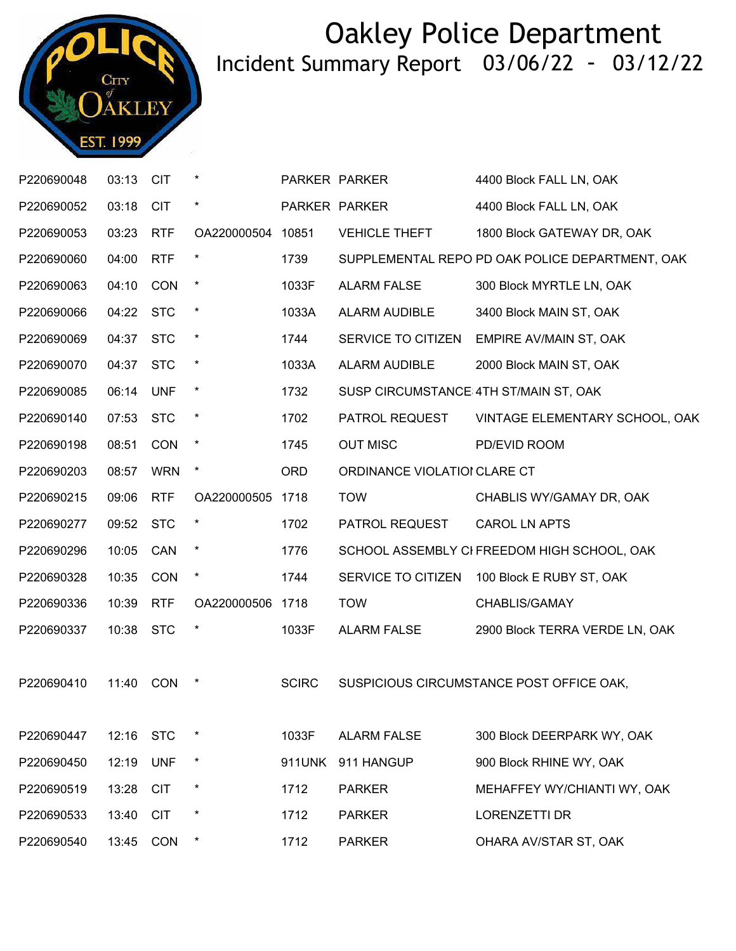

| P220690048 | 03:13     | <b>CIT</b> |                   |              | PARKER PARKER                | 4400 Block FALL LN, OAK                         |
|------------|-----------|------------|-------------------|--------------|------------------------------|-------------------------------------------------|
| P220690052 | 03:18     | <b>CIT</b> |                   |              | PARKER PARKER                | 4400 Block FALL LN, OAK                         |
| P220690053 | 03:23     | <b>RTF</b> | OA220000504 10851 |              | <b>VEHICLE THEFT</b>         | 1800 Block GATEWAY DR, OAK                      |
| P220690060 | 04:00     | <b>RTF</b> | $\ast$            | 1739         |                              | SUPPLEMENTAL REPO PD OAK POLICE DEPARTMENT, OAK |
| P220690063 | 04:10     | <b>CON</b> | $\star$           | 1033F        | <b>ALARM FALSE</b>           | 300 Block MYRTLE LN, OAK                        |
| P220690066 | 04:22     | <b>STC</b> | $\star$           | 1033A        | ALARM AUDIBLE                | 3400 Block MAIN ST, OAK                         |
| P220690069 | 04:37     | <b>STC</b> | $\star$           | 1744         | SERVICE TO CITIZEN           | EMPIRE AV/MAIN ST, OAK                          |
| P220690070 | 04:37     | <b>STC</b> | $\star$           | 1033A        | ALARM AUDIBLE                | 2000 Block MAIN ST, OAK                         |
| P220690085 | 06:14     | <b>UNF</b> | $\star$           | 1732         |                              | SUSP CIRCUMSTANCE 4TH ST/MAIN ST, OAK           |
| P220690140 | 07:53     | <b>STC</b> | $\star$           | 1702         | PATROL REQUEST               | VINTAGE ELEMENTARY SCHOOL, OAK                  |
| P220690198 | 08:51     | CON        | $\star$           | 1745         | <b>OUT MISC</b>              | PD/EVID ROOM                                    |
| P220690203 | 08:57     | <b>WRN</b> | $\star$           | <b>ORD</b>   | ORDINANCE VIOLATIOI CLARE CT |                                                 |
| P220690215 | 09:06     | <b>RTF</b> | OA220000505 1718  |              | <b>TOW</b>                   | CHABLIS WY/GAMAY DR, OAK                        |
| P220690277 | 09:52     | <b>STC</b> | $\star$           | 1702         | PATROL REQUEST               | <b>CAROL LN APTS</b>                            |
| P220690296 | 10:05     | CAN        | $\star$           | 1776         |                              | SCHOOL ASSEMBLY CI FREEDOM HIGH SCHOOL, OAK     |
| P220690328 | 10:35     | CON        | $\star$           | 1744         | SERVICE TO CITIZEN           | 100 Block E RUBY ST, OAK                        |
| P220690336 | 10:39     | <b>RTF</b> | OA220000506 1718  |              | <b>TOW</b>                   | CHABLIS/GAMAY                                   |
| P220690337 | 10:38 STC |            | $\star$           | 1033F        | <b>ALARM FALSE</b>           | 2900 Block TERRA VERDE LN, OAK                  |
| P220690410 | 11:40     | CON        |                   | <b>SCIRC</b> |                              | SUSPICIOUS CIRCUMSTANCE POST OFFICE OAK,        |
| P220690447 | 12:16     | <b>STC</b> | $\ast$            | 1033F        | <b>ALARM FALSE</b>           | 300 Block DEERPARK WY, OAK                      |
| P220690450 | 12:19     | <b>UNF</b> | $\ast$            | 911UNK       | 911 HANGUP                   | 900 Block RHINE WY, OAK                         |
| P220690519 | 13:28     | <b>CIT</b> | $\ast$            | 1712         | <b>PARKER</b>                | MEHAFFEY WY/CHIANTI WY, OAK                     |
| P220690533 | 13:40     | <b>CIT</b> | $\ast$            | 1712         | <b>PARKER</b>                | <b>LORENZETTI DR</b>                            |
| P220690540 | 13:45     | CON        | $\star$           | 1712         | <b>PARKER</b>                | OHARA AV/STAR ST, OAK                           |
|            |           |            |                   |              |                              |                                                 |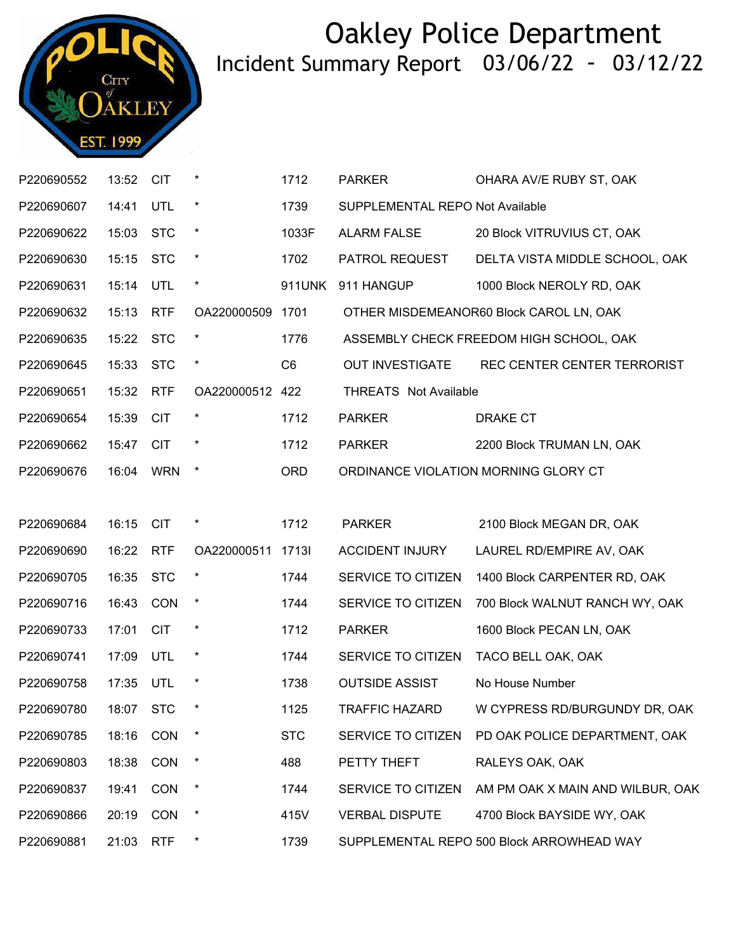

| P220690552 | 13:52 | <b>CIT</b> | *               | 1712           | <b>PARKER</b>                        | OHARA AV/E RUBY ST, OAK                   |
|------------|-------|------------|-----------------|----------------|--------------------------------------|-------------------------------------------|
| P220690607 | 14:41 | UTL        | $\star$         | 1739           | SUPPLEMENTAL REPO Not Available      |                                           |
| P220690622 | 15:03 | <b>STC</b> | $\star$         | 1033F          | <b>ALARM FALSE</b>                   | 20 Block VITRUVIUS CT, OAK                |
| P220690630 | 15:15 | <b>STC</b> | $\ast$          | 1702           | PATROL REQUEST                       | DELTA VISTA MIDDLE SCHOOL, OAK            |
| P220690631 | 15:14 | UTL        | $\star$         | 911UNK         | 911 HANGUP                           | 1000 Block NEROLY RD, OAK                 |
| P220690632 | 15:13 | <b>RTF</b> | OA220000509     | 1701           |                                      | OTHER MISDEMEANOR60 Block CAROL LN, OAK   |
| P220690635 | 15:22 | <b>STC</b> | $\ast$          | 1776           |                                      | ASSEMBLY CHECK FREEDOM HIGH SCHOOL, OAK   |
| P220690645 | 15:33 | <b>STC</b> | $\star$         | C <sub>6</sub> | <b>OUT INVESTIGATE</b>               | REC CENTER CENTER TERRORIST               |
| P220690651 | 15:32 | <b>RTF</b> | OA220000512 422 |                | <b>THREATS Not Available</b>         |                                           |
| P220690654 | 15:39 | <b>CIT</b> |                 | 1712           | <b>PARKER</b>                        | DRAKE CT                                  |
| P220690662 | 15:47 | <b>CIT</b> | $\star$         | 1712           | <b>PARKER</b>                        | 2200 Block TRUMAN LN, OAK                 |
| P220690676 | 16:04 | <b>WRN</b> | $\star$         | <b>ORD</b>     | ORDINANCE VIOLATION MORNING GLORY CT |                                           |
|            |       |            |                 |                |                                      |                                           |
| P220690684 | 16:15 | <b>CIT</b> | *               | 1712           | <b>PARKER</b>                        | 2100 Block MEGAN DR, OAK                  |
| P220690690 | 16:22 | <b>RTF</b> | OA220000511     | 17131          | <b>ACCIDENT INJURY</b>               | LAUREL RD/EMPIRE AV, OAK                  |
| P220690705 | 16:35 | <b>STC</b> | $\ast$          | 1744           | SERVICE TO CITIZEN                   | 1400 Block CARPENTER RD, OAK              |
| P220690716 | 16:43 | CON        | $\star$         | 1744           | SERVICE TO CITIZEN                   | 700 Block WALNUT RANCH WY, OAK            |
| P220690733 | 17:01 | <b>CIT</b> | $\star$         | 1712           | <b>PARKER</b>                        | 1600 Block PECAN LN, OAK                  |
| P220690741 | 17:09 | UTL        | $\star$         | 1744           | SERVICE TO CITIZEN                   | TACO BELL OAK, OAK                        |
| P220690758 | 17:35 | UTL        | $\ast$          | 1738           | <b>OUTSIDE ASSIST</b>                | No House Number                           |
| P220690780 | 18:07 | <b>STC</b> | $\star$         | 1125           | <b>TRAFFIC HAZARD</b>                | W CYPRESS RD/BURGUNDY DR, OAK             |
| P220690785 | 18:16 | <b>CON</b> |                 | <b>STC</b>     | SERVICE TO CITIZEN                   | PD OAK POLICE DEPARTMENT, OAK             |
| P220690803 | 18:38 | CON        | $\ast$          | 488            | PETTY THEFT                          | RALEYS OAK, OAK                           |
| P220690837 | 19:41 | CON        | $\ast$          | 1744           | SERVICE TO CITIZEN                   | AM PM OAK X MAIN AND WILBUR, OAK          |
| P220690866 | 20:19 | <b>CON</b> | $\ast$          | 415V           | <b>VERBAL DISPUTE</b>                | 4700 Block BAYSIDE WY, OAK                |
| P220690881 | 21:03 | <b>RTF</b> | $\ast$          | 1739           |                                      | SUPPLEMENTAL REPO 500 Block ARROWHEAD WAY |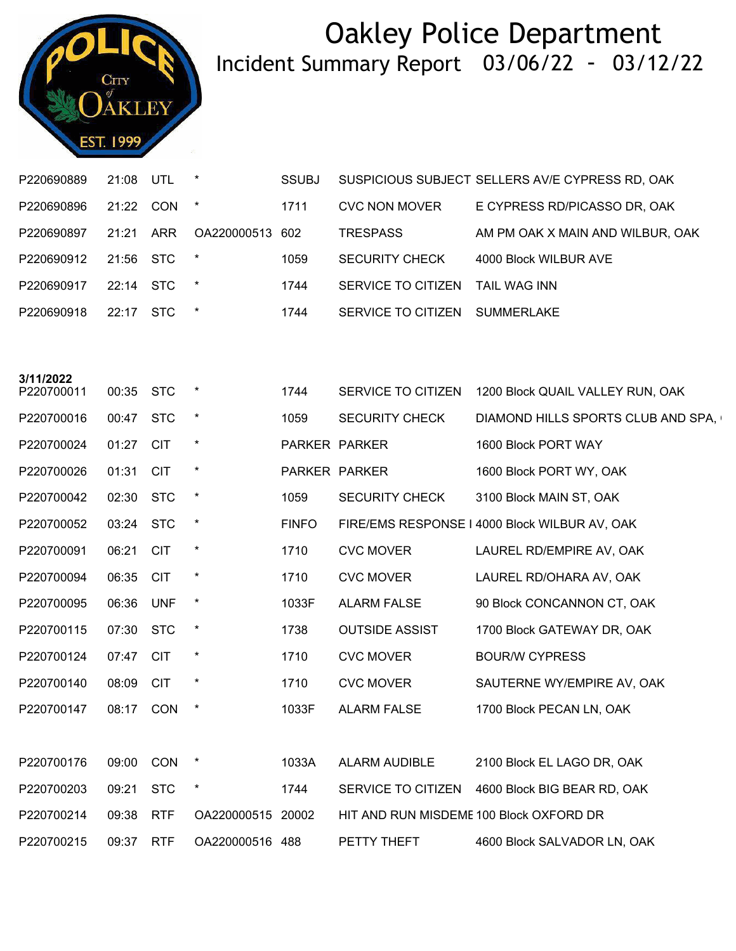

| P220690889 | 21:08 UTL |      | $\ast$          | <b>SSUBJ</b> |                       | SUSPICIOUS SUBJECT SELLERS AV/E CYPRESS RD, OAK |
|------------|-----------|------|-----------------|--------------|-----------------------|-------------------------------------------------|
| P220690896 | 21:22 CON |      | $\star$         | 1711         | <b>CVC NON MOVER</b>  | E CYPRESS RD/PICASSO DR, OAK                    |
| P220690897 | 21:21     | ARR  | OA220000513 602 |              | <b>TRESPASS</b>       | AM PM OAK X MAIN AND WILBUR, OAK                |
| P220690912 | 21:56 STC |      | $\star$         | 1059         | <b>SECURITY CHECK</b> | 4000 Block WILBUR AVE                           |
| P220690917 | 22:14 STC |      | $\star$         | 1744         | SERVICE TO CITIZEN    | TAIL WAG INN                                    |
| P220690918 | 22:17     | STC. | $\star$         | 1744         | SERVICE TO CITIZEN    | SUMMERI AKE                                     |

| 3/11/2022  |           |            |                   |              |                                         |                                               |
|------------|-----------|------------|-------------------|--------------|-----------------------------------------|-----------------------------------------------|
| P220700011 | 00:35 STC |            | $\star$           | 1744         | SERVICE TO CITIZEN                      | 1200 Block QUAIL VALLEY RUN, OAK              |
| P220700016 | 00:47 STC |            | $\star$           | 1059         | <b>SECURITY CHECK</b>                   | DIAMOND HILLS SPORTS CLUB AND SPA,            |
| P220700024 | 01:27     | <b>CIT</b> | $\star$           |              | PARKER PARKER                           | 1600 Block PORT WAY                           |
| P220700026 | 01:31     | <b>CIT</b> | $\star$           |              | PARKER PARKER                           | 1600 Block PORT WY, OAK                       |
| P220700042 | 02:30     | <b>STC</b> | $\star$           | 1059         | <b>SECURITY CHECK</b>                   | 3100 Block MAIN ST, OAK                       |
| P220700052 | 03:24 STC |            | $\star$           | <b>FINFO</b> |                                         | FIRE/EMS RESPONSE I 4000 Block WILBUR AV, OAK |
| P220700091 | 06:21     | <b>CIT</b> | $\star$           | 1710         | <b>CVC MOVER</b>                        | LAUREL RD/EMPIRE AV, OAK                      |
| P220700094 | 06:35     | <b>CIT</b> | $\star$           | 1710         | <b>CVC MOVER</b>                        | LAUREL RD/OHARA AV, OAK                       |
| P220700095 | 06:36     | <b>UNF</b> | $\star$           | 1033F        | <b>ALARM FALSE</b>                      | 90 Block CONCANNON CT, OAK                    |
| P220700115 | 07:30     | <b>STC</b> | $\star$           | 1738         | <b>OUTSIDE ASSIST</b>                   | 1700 Block GATEWAY DR, OAK                    |
| P220700124 | 07:47     | <b>CIT</b> | $\ast$            | 1710         | <b>CVC MOVER</b>                        | <b>BOUR/W CYPRESS</b>                         |
| P220700140 | 08:09     | <b>CIT</b> | $\star$           | 1710         | <b>CVC MOVER</b>                        | SAUTERNE WY/EMPIRE AV, OAK                    |
| P220700147 | 08:17     | CON        | $\star$           | 1033F        | <b>ALARM FALSE</b>                      | 1700 Block PECAN LN, OAK                      |
|            |           |            |                   |              |                                         |                                               |
| P220700176 | 09:00     | <b>CON</b> | $\star$           | 1033A        | <b>ALARM AUDIBLE</b>                    | 2100 Block EL LAGO DR, OAK                    |
| P220700203 | 09:21     | <b>STC</b> | $\star$           | 1744         | SERVICE TO CITIZEN                      | 4600 Block BIG BEAR RD, OAK                   |
| P220700214 | 09:38     | <b>RTF</b> | OA220000515 20002 |              | HIT AND RUN MISDEME 100 Block OXFORD DR |                                               |
| P220700215 | 09:37     | <b>RTF</b> | OA220000516 488   |              | PETTY THEFT                             | 4600 Block SALVADOR LN, OAK                   |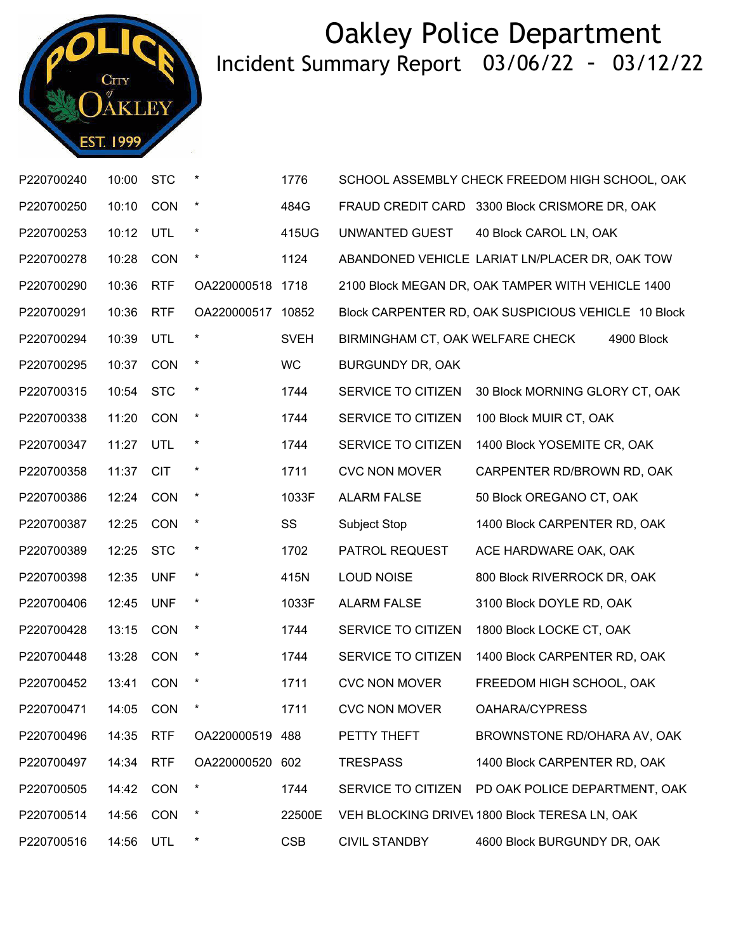

| P220700240 | 10:00 | <b>STC</b> | $\ast$          | 1776        |                                  | SCHOOL ASSEMBLY CHECK FREEDOM HIGH SCHOOL, OAK      |
|------------|-------|------------|-----------------|-------------|----------------------------------|-----------------------------------------------------|
| P220700250 | 10:10 | CON        | $\ast$          | 484G        |                                  | FRAUD CREDIT CARD 3300 Block CRISMORE DR, OAK       |
| P220700253 | 10:12 | UTL        | $\ast$          | 415UG       | UNWANTED GUEST                   | 40 Block CAROL LN, OAK                              |
| P220700278 | 10:28 | <b>CON</b> | $\ast$          | 1124        |                                  | ABANDONED VEHICLE LARIAT LN/PLACER DR, OAK TOW      |
| P220700290 | 10:36 | <b>RTF</b> | OA220000518     | 1718        |                                  | 2100 Block MEGAN DR, OAK TAMPER WITH VEHICLE 1400   |
| P220700291 | 10:36 | <b>RTF</b> | OA220000517     | 10852       |                                  | Block CARPENTER RD, OAK SUSPICIOUS VEHICLE 10 Block |
| P220700294 | 10:39 | UTL        | $\star$         | <b>SVEH</b> | BIRMINGHAM CT, OAK WELFARE CHECK | 4900 Block                                          |
| P220700295 | 10:37 | CON        | $\ast$          | <b>WC</b>   | <b>BURGUNDY DR, OAK</b>          |                                                     |
| P220700315 | 10:54 | <b>STC</b> | $\ast$          | 1744        | SERVICE TO CITIZEN               | 30 Block MORNING GLORY CT, OAK                      |
| P220700338 | 11:20 | CON        | $\ast$          | 1744        | SERVICE TO CITIZEN               | 100 Block MUIR CT, OAK                              |
| P220700347 | 11:27 | UTL        | $\ast$          | 1744        | SERVICE TO CITIZEN               | 1400 Block YOSEMITE CR, OAK                         |
| P220700358 | 11:37 | <b>CIT</b> | $\star$         | 1711        | <b>CVC NON MOVER</b>             | CARPENTER RD/BROWN RD, OAK                          |
| P220700386 | 12:24 | <b>CON</b> | $\ast$          | 1033F       | <b>ALARM FALSE</b>               | 50 Block OREGANO CT, OAK                            |
| P220700387 | 12:25 | CON        | $\star$         | SS          | Subject Stop                     | 1400 Block CARPENTER RD, OAK                        |
| P220700389 | 12:25 | <b>STC</b> | $\ast$          | 1702        | PATROL REQUEST                   | ACE HARDWARE OAK, OAK                               |
| P220700398 | 12:35 | <b>UNF</b> | $\ast$          | 415N        | <b>LOUD NOISE</b>                | 800 Block RIVERROCK DR, OAK                         |
| P220700406 | 12:45 | <b>UNF</b> | $\star$         | 1033F       | <b>ALARM FALSE</b>               | 3100 Block DOYLE RD, OAK                            |
| P220700428 | 13:15 | CON        | $\star$         | 1744        | SERVICE TO CITIZEN               | 1800 Block LOCKE CT, OAK                            |
| P220700448 | 13:28 | <b>CON</b> | $\ast$          | 1744        | SERVICE TO CITIZEN               | 1400 Block CARPENTER RD, OAK                        |
| P220700452 | 13:41 | CON        |                 | 1711        | <b>CVC NON MOVER</b>             | FREEDOM HIGH SCHOOL, OAK                            |
| P220700471 | 14:05 | CON        |                 | 1711        | <b>CVC NON MOVER</b>             | <b>OAHARA/CYPRESS</b>                               |
| P220700496 | 14:35 | <b>RTF</b> | OA220000519     | 488         | PETTY THEFT                      | BROWNSTONE RD/OHARA AV, OAK                         |
| P220700497 | 14:34 | <b>RTF</b> | OA220000520 602 |             | <b>TRESPASS</b>                  | 1400 Block CARPENTER RD, OAK                        |
| P220700505 | 14:42 | <b>CON</b> | $\ast$          | 1744        | SERVICE TO CITIZEN               | PD OAK POLICE DEPARTMENT, OAK                       |
| P220700514 | 14:56 | <b>CON</b> | $\star$         | 22500E      |                                  | VEH BLOCKING DRIVE\ 1800 Block TERESA LN, OAK       |
| P220700516 | 14:56 | UTL        | $\ast$          | <b>CSB</b>  | <b>CIVIL STANDBY</b>             | 4600 Block BURGUNDY DR, OAK                         |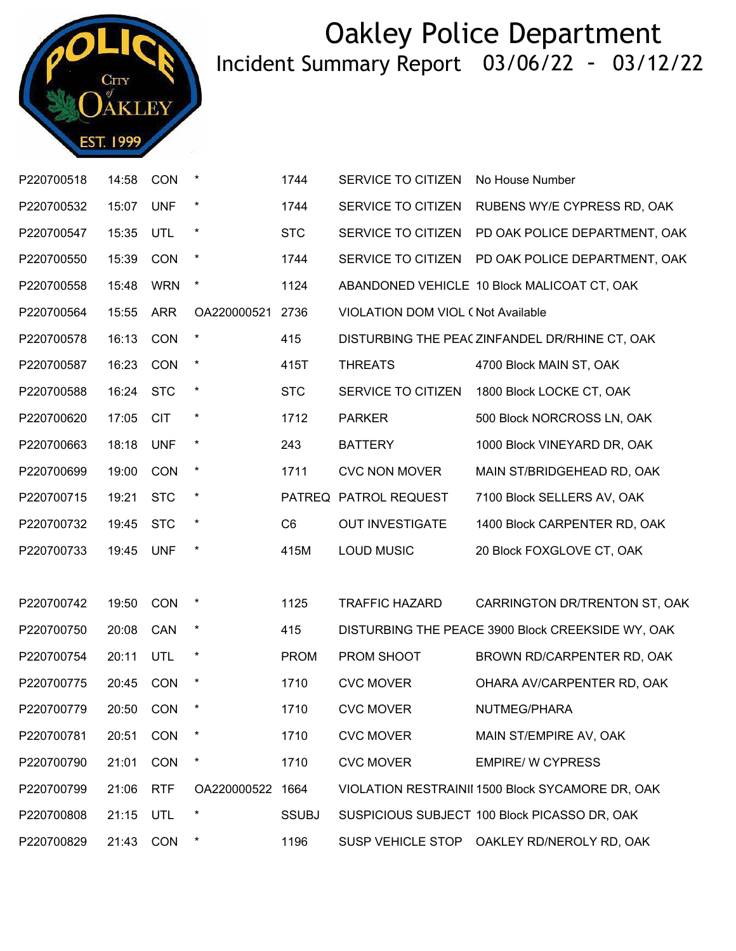

| P220700518 | 14:58 | <b>CON</b> | $\ast$      | 1744           | SERVICE TO CITIZEN                       | No House Number                                   |
|------------|-------|------------|-------------|----------------|------------------------------------------|---------------------------------------------------|
| P220700532 | 15:07 | <b>UNF</b> | $\star$     | 1744           | SERVICE TO CITIZEN                       | RUBENS WY/E CYPRESS RD, OAK                       |
| P220700547 | 15:35 | UTL        | $\star$     | <b>STC</b>     | SERVICE TO CITIZEN                       | PD OAK POLICE DEPARTMENT, OAK                     |
| P220700550 | 15:39 | CON        | $\star$     | 1744           | SERVICE TO CITIZEN                       | PD OAK POLICE DEPARTMENT, OAK                     |
| P220700558 | 15:48 | <b>WRN</b> | $\star$     | 1124           |                                          | ABANDONED VEHICLE 10 Block MALICOAT CT, OAK       |
| P220700564 | 15:55 | <b>ARR</b> | OA220000521 | 2736           | <b>VIOLATION DOM VIOL (Not Available</b> |                                                   |
| P220700578 | 16:13 | <b>CON</b> | $\star$     | 415            |                                          | DISTURBING THE PEAC ZINFANDEL DR/RHINE CT, OAK    |
| P220700587 | 16:23 | CON        | $\star$     | 415T           | <b>THREATS</b>                           | 4700 Block MAIN ST, OAK                           |
| P220700588 | 16:24 | <b>STC</b> | $\star$     | <b>STC</b>     | SERVICE TO CITIZEN                       | 1800 Block LOCKE CT, OAK                          |
| P220700620 | 17:05 | <b>CIT</b> | *           | 1712           | <b>PARKER</b>                            | 500 Block NORCROSS LN, OAK                        |
| P220700663 | 18:18 | <b>UNF</b> | $\star$     | 243            | <b>BATTERY</b>                           | 1000 Block VINEYARD DR, OAK                       |
| P220700699 | 19:00 | CON        | $\star$     | 1711           | <b>CVC NON MOVER</b>                     | MAIN ST/BRIDGEHEAD RD, OAK                        |
| P220700715 | 19:21 | <b>STC</b> | $\star$     |                | PATREQ PATROL REQUEST                    | 7100 Block SELLERS AV, OAK                        |
| P220700732 | 19:45 | <b>STC</b> | $\star$     | C <sub>6</sub> | <b>OUT INVESTIGATE</b>                   | 1400 Block CARPENTER RD, OAK                      |
| P220700733 | 19:45 | <b>UNF</b> | $\star$     | 415M           | <b>LOUD MUSIC</b>                        | 20 Block FOXGLOVE CT, OAK                         |
|            |       |            |             |                |                                          |                                                   |
| P220700742 | 19:50 | CON        | $\ast$      | 1125           | <b>TRAFFIC HAZARD</b>                    | CARRINGTON DR/TRENTON ST, OAK                     |
| P220700750 | 20:08 | CAN        | $\star$     | 415            |                                          | DISTURBING THE PEACE 3900 Block CREEKSIDE WY, OAK |
| P220700754 | 20:11 | UTL        | $\star$     | <b>PROM</b>    | PROM SHOOT                               | BROWN RD/CARPENTER RD, OAK                        |
| P220700775 | 20:45 | CON        | $\star$     | 1710           | <b>CVC MOVER</b>                         | OHARA AV/CARPENTER RD, OAK                        |
| P220700779 | 20:50 | <b>CON</b> | $^{\star}$  | 1710           | <b>CVC MOVER</b>                         | NUTMEG/PHARA                                      |
| P220700781 | 20:51 | <b>CON</b> | $\ast$      | 1710           | <b>CVC MOVER</b>                         | MAIN ST/EMPIRE AV, OAK                            |
| P220700790 | 21:01 | <b>CON</b> | *           | 1710           | <b>CVC MOVER</b>                         | <b>EMPIRE/ W CYPRESS</b>                          |
| P220700799 | 21:06 | <b>RTF</b> | OA220000522 | 1664           |                                          | VIOLATION RESTRAINII 1500 Block SYCAMORE DR, OAK  |
| P220700808 | 21:15 | UTL        | *           | <b>SSUBJ</b>   |                                          | SUSPICIOUS SUBJECT 100 Block PICASSO DR, OAK      |
| P220700829 | 21:43 | <b>CON</b> | $\ast$      | 1196           |                                          | SUSP VEHICLE STOP OAKLEY RD/NEROLY RD, OAK        |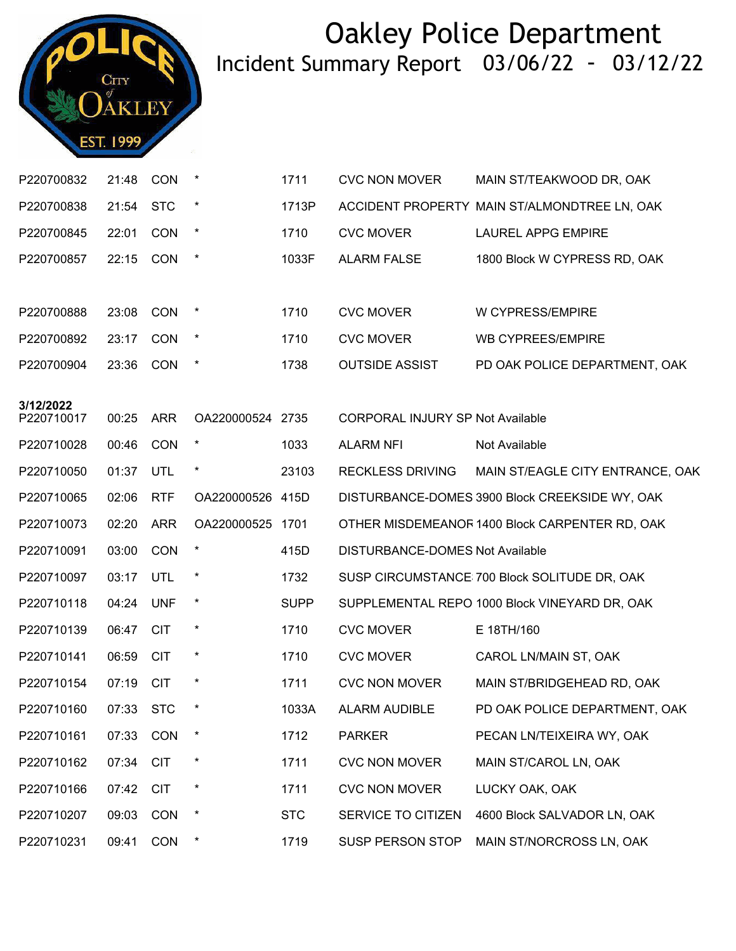

| P220700832              | 21:48 | CON        | $\ast$           | 1711        | <b>CVC NON MOVER</b>                    | MAIN ST/TEAKWOOD DR, OAK                       |
|-------------------------|-------|------------|------------------|-------------|-----------------------------------------|------------------------------------------------|
| P220700838              | 21:54 | <b>STC</b> | $\star$          | 1713P       |                                         | ACCIDENT PROPERTY MAIN ST/ALMONDTREE LN, OAK   |
| P220700845              | 22:01 | CON        | $\ast$           | 1710        | <b>CVC MOVER</b>                        | <b>LAUREL APPG EMPIRE</b>                      |
| P220700857              | 22:15 | <b>CON</b> | $\ast$           | 1033F       | <b>ALARM FALSE</b>                      | 1800 Block W CYPRESS RD, OAK                   |
|                         |       |            |                  |             |                                         |                                                |
| P220700888              | 23:08 | CON        | $\ast$           | 1710        | <b>CVC MOVER</b>                        | W CYPRESS/EMPIRE                               |
| P220700892              | 23:17 | <b>CON</b> | $\ast$           | 1710        | <b>CVC MOVER</b>                        | <b>WB CYPREES/EMPIRE</b>                       |
| P220700904              | 23:36 | <b>CON</b> | $\star$          | 1738        | <b>OUTSIDE ASSIST</b>                   | PD OAK POLICE DEPARTMENT, OAK                  |
|                         |       |            |                  |             |                                         |                                                |
| 3/12/2022<br>P220710017 | 00:25 | <b>ARR</b> | OA220000524 2735 |             | <b>CORPORAL INJURY SP Not Available</b> |                                                |
| P220710028              | 00:46 | CON        | $\star$          | 1033        | <b>ALARM NFI</b>                        | Not Available                                  |
| P220710050              | 01:37 | UTL        | $\ast$           | 23103       | <b>RECKLESS DRIVING</b>                 | MAIN ST/EAGLE CITY ENTRANCE, OAK               |
| P220710065              | 02:06 | <b>RTF</b> | OA220000526      | 415D        |                                         | DISTURBANCE-DOMES 3900 Block CREEKSIDE WY, OAK |
| P220710073              | 02:20 | <b>ARR</b> | OA220000525 1701 |             |                                         | OTHER MISDEMEANOF 1400 Block CARPENTER RD, OAK |
| P220710091              | 03:00 | CON        | $\star$          | 415D        | <b>DISTURBANCE-DOMES Not Available</b>  |                                                |
| P220710097              | 03:17 | UTL        |                  | 1732        |                                         | SUSP CIRCUMSTANCE 700 Block SOLITUDE DR, OAK   |
| P220710118              | 04:24 | <b>UNF</b> | $\ast$           | <b>SUPP</b> |                                         | SUPPLEMENTAL REPO 1000 Block VINEYARD DR, OAK  |
| P220710139              | 06:47 | <b>CIT</b> | $\ast$           | 1710        | <b>CVC MOVER</b>                        | E 18TH/160                                     |
| P220710141              | 06:59 | <b>CIT</b> | $\ast$           | 1710        | <b>CVC MOVER</b>                        | CAROL LN/MAIN ST, OAK                          |
| P220710154              | 07:19 | <b>CIT</b> |                  | 1711        | <b>CVC NON MOVER</b>                    | MAIN ST/BRIDGEHEAD RD, OAK                     |
| P220710160 07:33 STC    |       |            |                  | 1033A       | ALARM AUDIBLE                           | PD OAK POLICE DEPARTMENT, OAK                  |
| P220710161              | 07:33 | CON        | $\ast$           | 1712        | <b>PARKER</b>                           | PECAN LN/TEIXEIRA WY, OAK                      |
| P220710162              | 07:34 | <b>CIT</b> | $\ast$           | 1711        | <b>CVC NON MOVER</b>                    | MAIN ST/CAROL LN, OAK                          |
| P220710166              | 07:42 | <b>CIT</b> | $\ast$           | 1711        | <b>CVC NON MOVER</b>                    | LUCKY OAK, OAK                                 |
| P220710207              | 09:03 | CON        | $\ast$           | <b>STC</b>  | SERVICE TO CITIZEN                      | 4600 Block SALVADOR LN, OAK                    |
| P220710231              | 09:41 | CON        | $\ast$           | 1719        | SUSP PERSON STOP                        | MAIN ST/NORCROSS LN, OAK                       |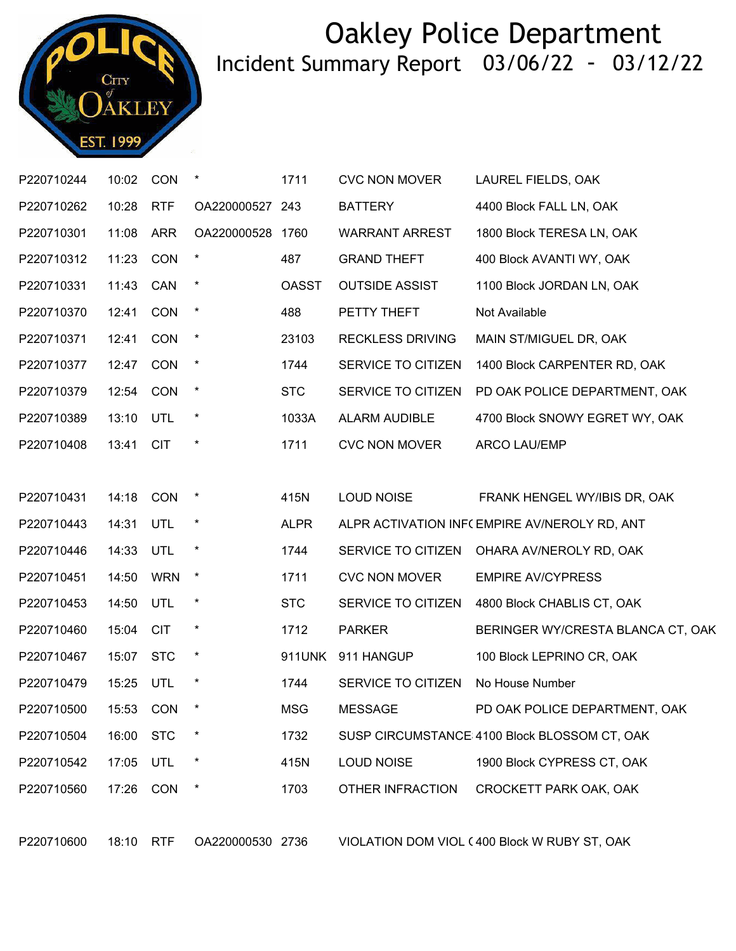

| P220710244 | 10:02     | CON        | $\star$          | 1711         | <b>CVC NON MOVER</b>    | LAUREL FIELDS, OAK                            |
|------------|-----------|------------|------------------|--------------|-------------------------|-----------------------------------------------|
| P220710262 | 10:28     | <b>RTF</b> | OA220000527      | 243          | <b>BATTERY</b>          | 4400 Block FALL LN, OAK                       |
| P220710301 | 11:08     | <b>ARR</b> | OA220000528 1760 |              | <b>WARRANT ARREST</b>   | 1800 Block TERESA LN, OAK                     |
| P220710312 | 11:23     | CON        | $\star$          | 487          | <b>GRAND THEFT</b>      | 400 Block AVANTI WY, OAK                      |
| P220710331 | 11:43     | CAN        | $\ast$           | <b>OASST</b> | <b>OUTSIDE ASSIST</b>   | 1100 Block JORDAN LN, OAK                     |
| P220710370 | 12:41     | CON        | $\star$          | 488          | PETTY THEFT             | Not Available                                 |
| P220710371 | 12:41     | CON        | $\star$          | 23103        | <b>RECKLESS DRIVING</b> | MAIN ST/MIGUEL DR, OAK                        |
| P220710377 | 12:47     | CON        | $\ast$           | 1744         | SERVICE TO CITIZEN      | 1400 Block CARPENTER RD, OAK                  |
| P220710379 | 12:54     | CON        | $\ast$           | <b>STC</b>   | SERVICE TO CITIZEN      | PD OAK POLICE DEPARTMENT, OAK                 |
| P220710389 | 13:10     | UTL        | $\ast$           | 1033A        | <b>ALARM AUDIBLE</b>    | 4700 Block SNOWY EGRET WY, OAK                |
| P220710408 | 13:41     | <b>CIT</b> |                  | 1711         | <b>CVC NON MOVER</b>    | <b>ARCO LAU/EMP</b>                           |
|            |           |            |                  |              |                         |                                               |
| P220710431 | 14:18     | CON        | $\ast$           | 415N         | <b>LOUD NOISE</b>       | FRANK HENGEL WY/IBIS DR, OAK                  |
| P220710443 | 14:31     | UTL        | $\ast$           | <b>ALPR</b>  |                         | ALPR ACTIVATION INF( EMPIRE AV/NEROLY RD, ANT |
| P220710446 | 14:33     | UTL        | $\ast$           | 1744         | SERVICE TO CITIZEN      | OHARA AV/NEROLY RD, OAK                       |
| P220710451 | 14:50     | <b>WRN</b> | $\ast$           | 1711         | <b>CVC NON MOVER</b>    | <b>EMPIRE AV/CYPRESS</b>                      |
| P220710453 | 14:50     | UTL        | $\ast$           | <b>STC</b>   | SERVICE TO CITIZEN      | 4800 Block CHABLIS CT, OAK                    |
| P220710460 | 15:04     | <b>CIT</b> | $\ast$           | 1712         | <b>PARKER</b>           | BERINGER WY/CRESTA BLANCA CT, OAK             |
| P220710467 | 15:07     | <b>STC</b> | $\star$          | 911UNK       | 911 HANGUP              | 100 Block LEPRINO CR, OAK                     |
| P220710479 | 15:25     | UTL        | $\ast$           | 1744         | SERVICE TO CITIZEN      | No House Number                               |
| P220710500 | 15:53 CON |            | $\ast$           | <b>MSG</b>   | <b>MESSAGE</b>          | PD OAK POLICE DEPARTMENT, OAK                 |
| P220710504 | 16:00     | <b>STC</b> |                  | 1732         |                         | SUSP CIRCUMSTANCE 4100 Block BLOSSOM CT, OAK  |
| P220710542 | 17:05     | UTL        |                  | 415N         | <b>LOUD NOISE</b>       | 1900 Block CYPRESS CT, OAK                    |
| P220710560 | 17:26     | CON        |                  | 1703         | OTHER INFRACTION        | CROCKETT PARK OAK, OAK                        |
|            |           |            |                  |              |                         |                                               |

P220710600 18:10 RTF OA220000530 2736 VIOLATION DOM VIOL ORDER 400 Block W RUBY ST, OAK